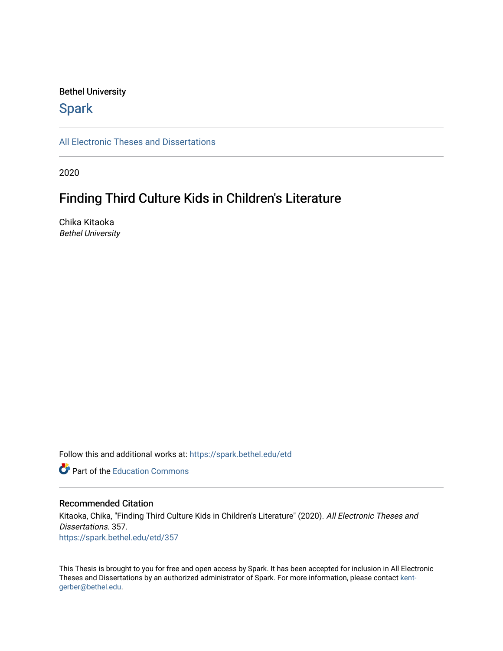# Bethel University

# **Spark**

[All Electronic Theses and Dissertations](https://spark.bethel.edu/etd) 

2020

# Finding Third Culture Kids in Children's Literature

Chika Kitaoka Bethel University

Follow this and additional works at: [https://spark.bethel.edu/etd](https://spark.bethel.edu/etd?utm_source=spark.bethel.edu%2Fetd%2F357&utm_medium=PDF&utm_campaign=PDFCoverPages)

**C** Part of the [Education Commons](http://network.bepress.com/hgg/discipline/784?utm_source=spark.bethel.edu%2Fetd%2F357&utm_medium=PDF&utm_campaign=PDFCoverPages)

# Recommended Citation

Kitaoka, Chika, "Finding Third Culture Kids in Children's Literature" (2020). All Electronic Theses and Dissertations. 357. [https://spark.bethel.edu/etd/357](https://spark.bethel.edu/etd/357?utm_source=spark.bethel.edu%2Fetd%2F357&utm_medium=PDF&utm_campaign=PDFCoverPages)

This Thesis is brought to you for free and open access by Spark. It has been accepted for inclusion in All Electronic Theses and Dissertations by an authorized administrator of Spark. For more information, please contact [kent](mailto:kent-gerber@bethel.edu)[gerber@bethel.edu.](mailto:kent-gerber@bethel.edu)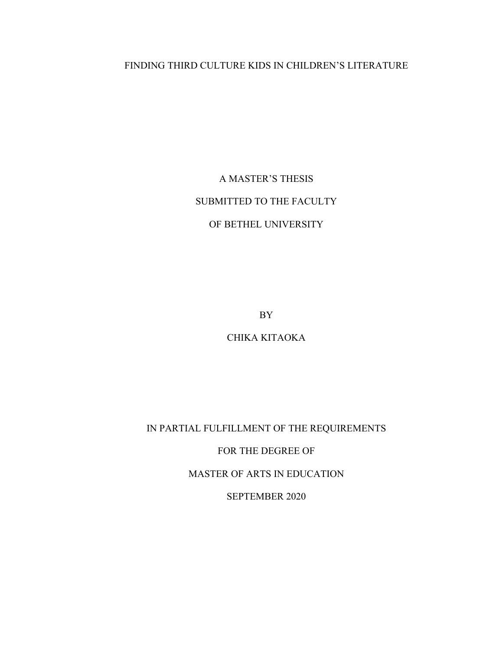# FINDING THIRD CULTURE KIDS IN CHILDREN'S LITERATURE

A MASTER'S THESIS SUBMITTED TO THE FACULTY OF BETHEL UNIVERSITY

BY

CHIKA KITAOKA

IN PARTIAL FULFILLMENT OF THE REQUIREMENTS

FOR THE DEGREE OF

MASTER OF ARTS IN EDUCATION

SEPTEMBER 2020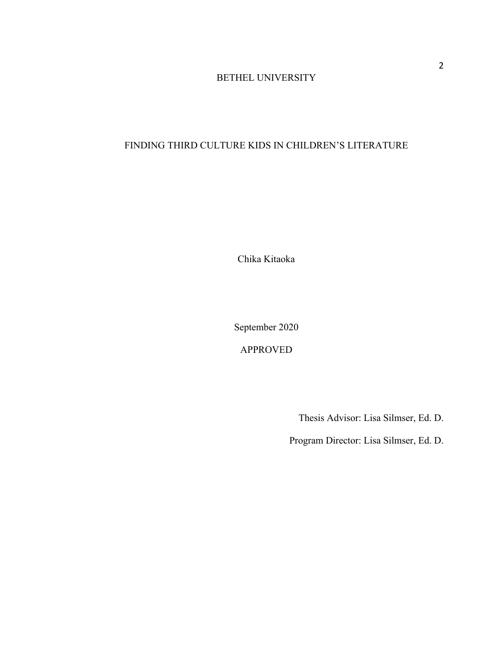# BETHEL UNIVERSITY

# FINDING THIRD CULTURE KIDS IN CHILDREN'S LITERATURE

Chika Kitaoka

September 2020

APPROVED

Thesis Advisor: Lisa Silmser, Ed. D.

Program Director: Lisa Silmser, Ed. D.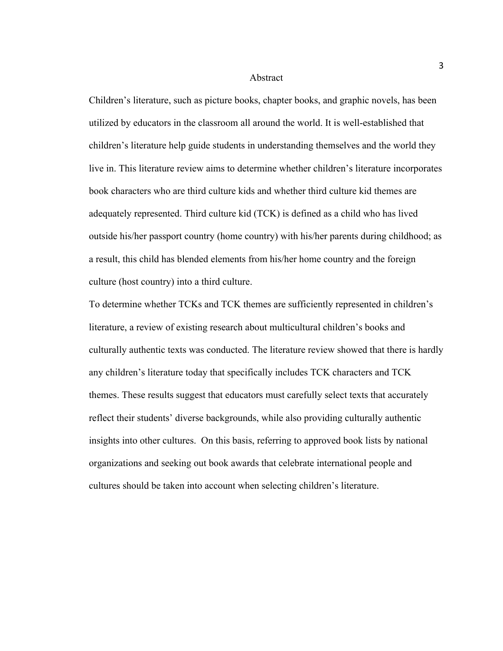#### Abstract

Children's literature, such as picture books, chapter books, and graphic novels, has been utilized by educators in the classroom all around the world. It is well-established that children's literature help guide students in understanding themselves and the world they live in. This literature review aims to determine whether children's literature incorporates book characters who are third culture kids and whether third culture kid themes are adequately represented. Third culture kid (TCK) is defined as a child who has lived outside his/her passport country (home country) with his/her parents during childhood; as a result, this child has blended elements from his/her home country and the foreign culture (host country) into a third culture.

To determine whether TCKs and TCK themes are sufficiently represented in children's literature, a review of existing research about multicultural children's books and culturally authentic texts was conducted. The literature review showed that there is hardly any children's literature today that specifically includes TCK characters and TCK themes. These results suggest that educators must carefully select texts that accurately reflect their students' diverse backgrounds, while also providing culturally authentic insights into other cultures. On this basis, referring to approved book lists by national organizations and seeking out book awards that celebrate international people and cultures should be taken into account when selecting children's literature.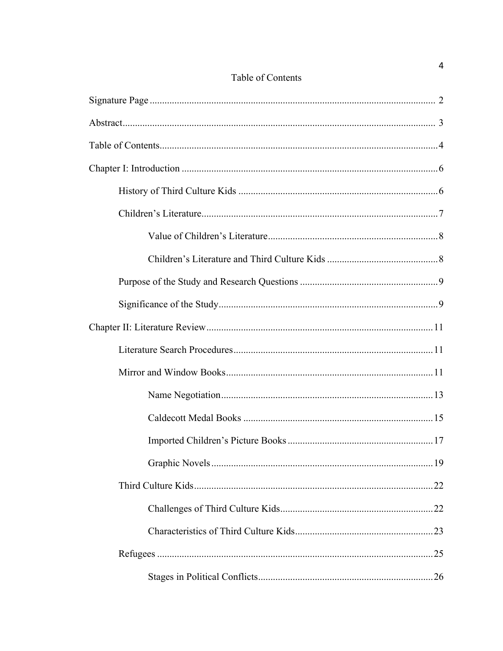| Table of Contents |  |
|-------------------|--|
|                   |  |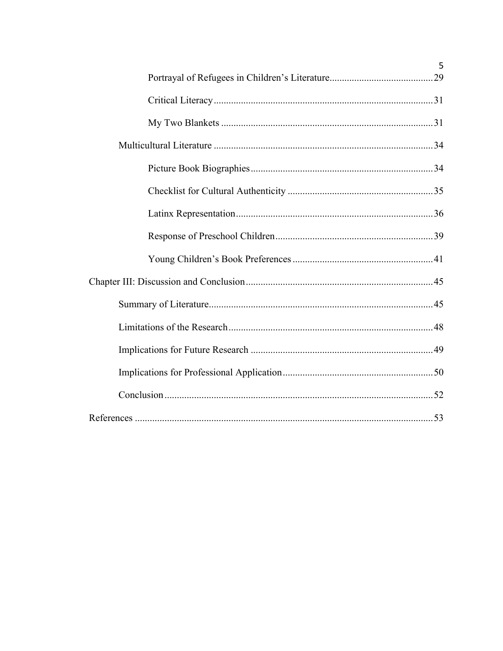| 5. |
|----|
|    |
|    |
|    |
|    |
|    |
|    |
|    |
|    |
|    |
|    |
|    |
|    |
|    |
|    |
|    |
|    |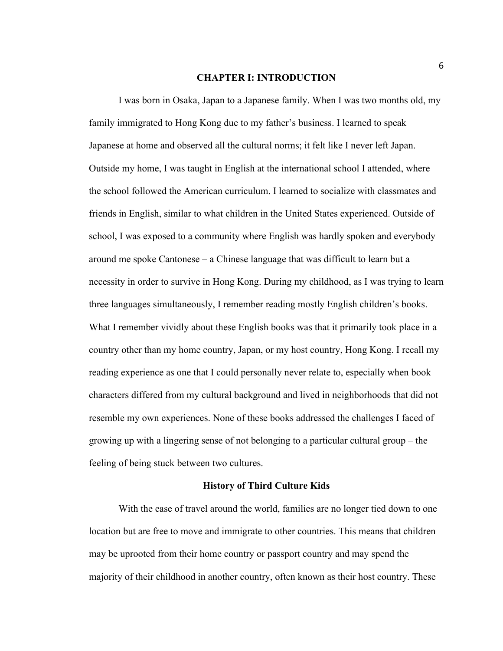#### **CHAPTER I: INTRODUCTION**

I was born in Osaka, Japan to a Japanese family. When I was two months old, my family immigrated to Hong Kong due to my father's business. I learned to speak Japanese at home and observed all the cultural norms; it felt like I never left Japan. Outside my home, I was taught in English at the international school I attended, where the school followed the American curriculum. I learned to socialize with classmates and friends in English, similar to what children in the United States experienced. Outside of school, I was exposed to a community where English was hardly spoken and everybody around me spoke Cantonese – a Chinese language that was difficult to learn but a necessity in order to survive in Hong Kong. During my childhood, as I was trying to learn three languages simultaneously, I remember reading mostly English children's books. What I remember vividly about these English books was that it primarily took place in a country other than my home country, Japan, or my host country, Hong Kong. I recall my reading experience as one that I could personally never relate to, especially when book characters differed from my cultural background and lived in neighborhoods that did not resemble my own experiences. None of these books addressed the challenges I faced of growing up with a lingering sense of not belonging to a particular cultural group – the feeling of being stuck between two cultures.

## **History of Third Culture Kids**

With the ease of travel around the world, families are no longer tied down to one location but are free to move and immigrate to other countries. This means that children may be uprooted from their home country or passport country and may spend the majority of their childhood in another country, often known as their host country. These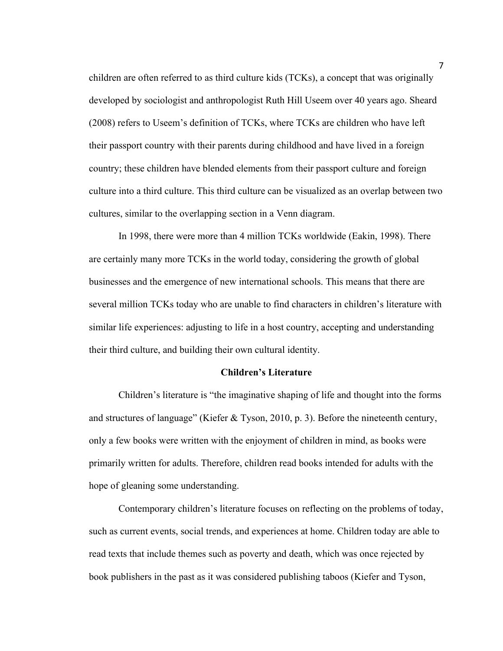children are often referred to as third culture kids (TCKs), a concept that was originally developed by sociologist and anthropologist Ruth Hill Useem over 40 years ago. Sheard (2008) refers to Useem's definition of TCKs, where TCKs are children who have left their passport country with their parents during childhood and have lived in a foreign country; these children have blended elements from their passport culture and foreign culture into a third culture. This third culture can be visualized as an overlap between two cultures, similar to the overlapping section in a Venn diagram.

In 1998, there were more than 4 million TCKs worldwide (Eakin, 1998). There are certainly many more TCKs in the world today, considering the growth of global businesses and the emergence of new international schools. This means that there are several million TCKs today who are unable to find characters in children's literature with similar life experiences: adjusting to life in a host country, accepting and understanding their third culture, and building their own cultural identity.

# **Children's Literature**

Children's literature is "the imaginative shaping of life and thought into the forms and structures of language" (Kiefer & Tyson, 2010, p. 3). Before the nineteenth century, only a few books were written with the enjoyment of children in mind, as books were primarily written for adults. Therefore, children read books intended for adults with the hope of gleaning some understanding.

Contemporary children's literature focuses on reflecting on the problems of today, such as current events, social trends, and experiences at home. Children today are able to read texts that include themes such as poverty and death, which was once rejected by book publishers in the past as it was considered publishing taboos (Kiefer and Tyson,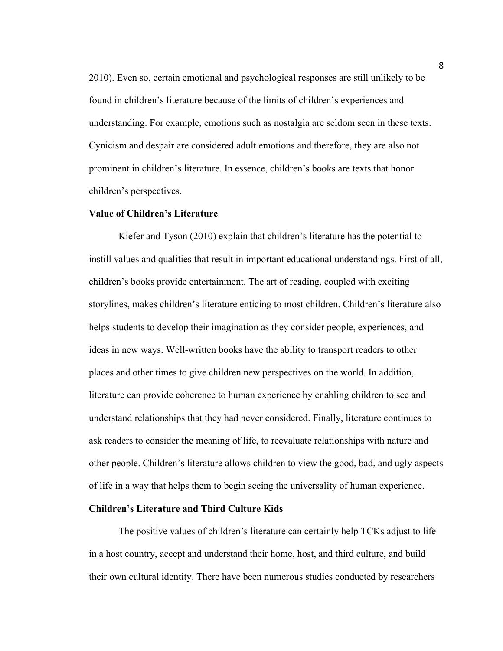2010). Even so, certain emotional and psychological responses are still unlikely to be found in children's literature because of the limits of children's experiences and understanding. For example, emotions such as nostalgia are seldom seen in these texts. Cynicism and despair are considered adult emotions and therefore, they are also not prominent in children's literature. In essence, children's books are texts that honor children's perspectives.

# **Value of Children's Literature**

Kiefer and Tyson (2010) explain that children's literature has the potential to instill values and qualities that result in important educational understandings. First of all, children's books provide entertainment. The art of reading, coupled with exciting storylines, makes children's literature enticing to most children. Children's literature also helps students to develop their imagination as they consider people, experiences, and ideas in new ways. Well-written books have the ability to transport readers to other places and other times to give children new perspectives on the world. In addition, literature can provide coherence to human experience by enabling children to see and understand relationships that they had never considered. Finally, literature continues to ask readers to consider the meaning of life, to reevaluate relationships with nature and other people. Children's literature allows children to view the good, bad, and ugly aspects of life in a way that helps them to begin seeing the universality of human experience.

#### **Children's Literature and Third Culture Kids**

The positive values of children's literature can certainly help TCKs adjust to life in a host country, accept and understand their home, host, and third culture, and build their own cultural identity. There have been numerous studies conducted by researchers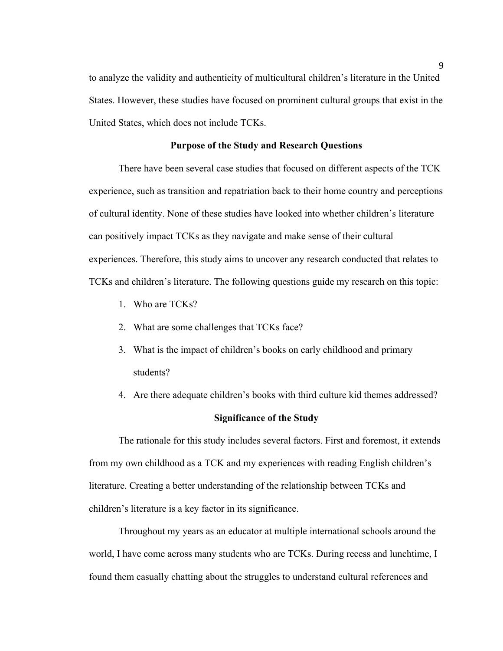to analyze the validity and authenticity of multicultural children's literature in the United States. However, these studies have focused on prominent cultural groups that exist in the United States, which does not include TCKs.

# **Purpose of the Study and Research Questions**

There have been several case studies that focused on different aspects of the TCK experience, such as transition and repatriation back to their home country and perceptions of cultural identity. None of these studies have looked into whether children's literature can positively impact TCKs as they navigate and make sense of their cultural experiences. Therefore, this study aims to uncover any research conducted that relates to TCKs and children's literature. The following questions guide my research on this topic:

- 1. Who are TCKs?
- 2. What are some challenges that TCKs face?
- 3. What is the impact of children's books on early childhood and primary students?
- 4. Are there adequate children's books with third culture kid themes addressed?

## **Significance of the Study**

The rationale for this study includes several factors. First and foremost, it extends from my own childhood as a TCK and my experiences with reading English children's literature. Creating a better understanding of the relationship between TCKs and children's literature is a key factor in its significance.

Throughout my years as an educator at multiple international schools around the world, I have come across many students who are TCKs. During recess and lunchtime, I found them casually chatting about the struggles to understand cultural references and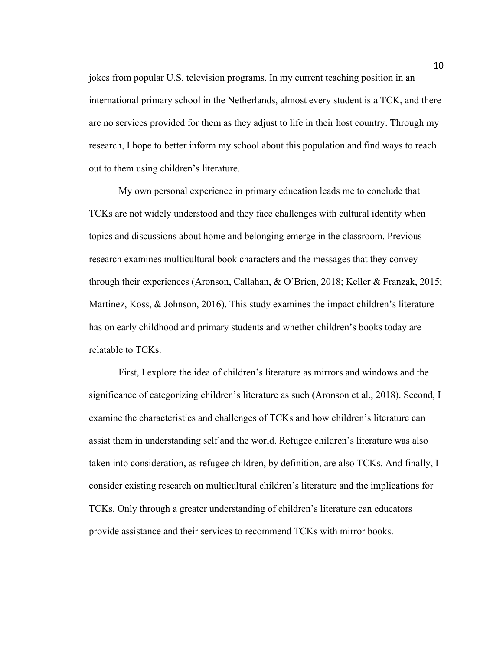jokes from popular U.S. television programs. In my current teaching position in an international primary school in the Netherlands, almost every student is a TCK, and there are no services provided for them as they adjust to life in their host country. Through my research, I hope to better inform my school about this population and find ways to reach out to them using children's literature.

My own personal experience in primary education leads me to conclude that TCKs are not widely understood and they face challenges with cultural identity when topics and discussions about home and belonging emerge in the classroom. Previous research examines multicultural book characters and the messages that they convey through their experiences (Aronson, Callahan, & O'Brien, 2018; Keller & Franzak, 2015; Martinez, Koss, & Johnson, 2016). This study examines the impact children's literature has on early childhood and primary students and whether children's books today are relatable to TCKs.

First, I explore the idea of children's literature as mirrors and windows and the significance of categorizing children's literature as such (Aronson et al., 2018). Second, I examine the characteristics and challenges of TCKs and how children's literature can assist them in understanding self and the world. Refugee children's literature was also taken into consideration, as refugee children, by definition, are also TCKs. And finally, I consider existing research on multicultural children's literature and the implications for TCKs. Only through a greater understanding of children's literature can educators provide assistance and their services to recommend TCKs with mirror books.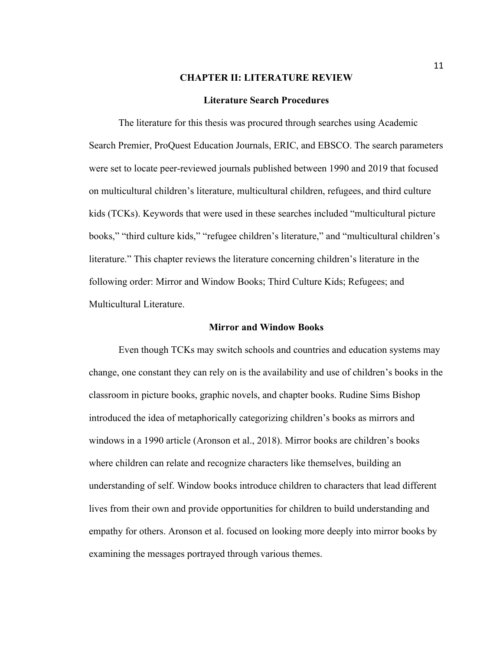#### **CHAPTER II: LITERATURE REVIEW**

#### **Literature Search Procedures**

The literature for this thesis was procured through searches using Academic Search Premier, ProQuest Education Journals, ERIC, and EBSCO. The search parameters were set to locate peer-reviewed journals published between 1990 and 2019 that focused on multicultural children's literature, multicultural children, refugees, and third culture kids (TCKs). Keywords that were used in these searches included "multicultural picture books," "third culture kids," "refugee children's literature," and "multicultural children's literature." This chapter reviews the literature concerning children's literature in the following order: Mirror and Window Books; Third Culture Kids; Refugees; and Multicultural Literature.

# **Mirror and Window Books**

Even though TCKs may switch schools and countries and education systems may change, one constant they can rely on is the availability and use of children's books in the classroom in picture books, graphic novels, and chapter books. Rudine Sims Bishop introduced the idea of metaphorically categorizing children's books as mirrors and windows in a 1990 article (Aronson et al., 2018). Mirror books are children's books where children can relate and recognize characters like themselves, building an understanding of self. Window books introduce children to characters that lead different lives from their own and provide opportunities for children to build understanding and empathy for others. Aronson et al. focused on looking more deeply into mirror books by examining the messages portrayed through various themes.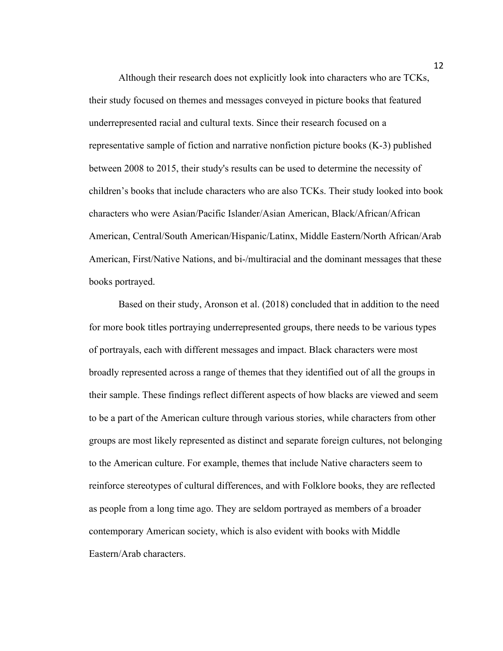Although their research does not explicitly look into characters who are TCKs, their study focused on themes and messages conveyed in picture books that featured underrepresented racial and cultural texts. Since their research focused on a representative sample of fiction and narrative nonfiction picture books (K-3) published between 2008 to 2015, their study's results can be used to determine the necessity of children's books that include characters who are also TCKs. Their study looked into book characters who were Asian/Pacific Islander/Asian American, Black/African/African American, Central/South American/Hispanic/Latinx, Middle Eastern/North African/Arab American, First/Native Nations, and bi-/multiracial and the dominant messages that these books portrayed.

Based on their study, Aronson et al. (2018) concluded that in addition to the need for more book titles portraying underrepresented groups, there needs to be various types of portrayals, each with different messages and impact. Black characters were most broadly represented across a range of themes that they identified out of all the groups in their sample. These findings reflect different aspects of how blacks are viewed and seem to be a part of the American culture through various stories, while characters from other groups are most likely represented as distinct and separate foreign cultures, not belonging to the American culture. For example, themes that include Native characters seem to reinforce stereotypes of cultural differences, and with Folklore books, they are reflected as people from a long time ago. They are seldom portrayed as members of a broader contemporary American society, which is also evident with books with Middle Eastern/Arab characters.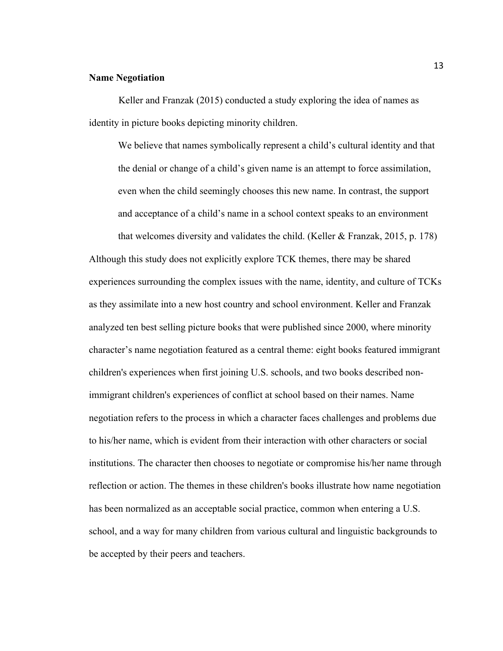# **Name Negotiation**

Keller and Franzak (2015) conducted a study exploring the idea of names as identity in picture books depicting minority children.

We believe that names symbolically represent a child's cultural identity and that the denial or change of a child's given name is an attempt to force assimilation, even when the child seemingly chooses this new name. In contrast, the support and acceptance of a child's name in a school context speaks to an environment

that welcomes diversity and validates the child. (Keller & Franzak, 2015, p. 178) Although this study does not explicitly explore TCK themes, there may be shared experiences surrounding the complex issues with the name, identity, and culture of TCKs as they assimilate into a new host country and school environment. Keller and Franzak analyzed ten best selling picture books that were published since 2000, where minority character's name negotiation featured as a central theme: eight books featured immigrant children's experiences when first joining U.S. schools, and two books described nonimmigrant children's experiences of conflict at school based on their names. Name negotiation refers to the process in which a character faces challenges and problems due to his/her name, which is evident from their interaction with other characters or social institutions. The character then chooses to negotiate or compromise his/her name through reflection or action. The themes in these children's books illustrate how name negotiation has been normalized as an acceptable social practice, common when entering a U.S. school, and a way for many children from various cultural and linguistic backgrounds to be accepted by their peers and teachers.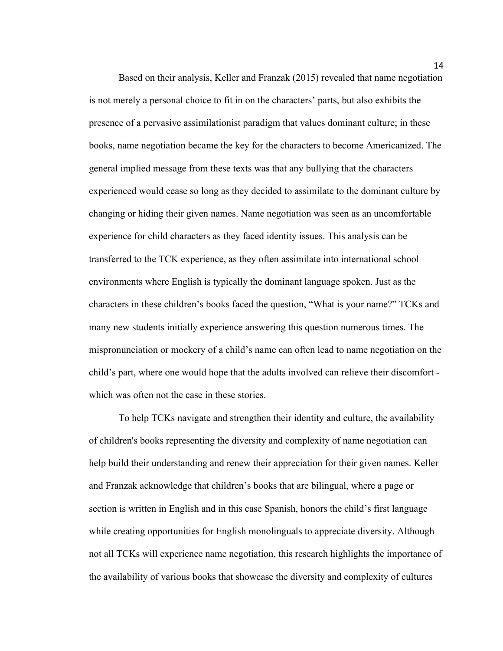Based on their analysis, Keller and Franzak (2015) revealed that name negotiation is not merely a personal choice to fit in on the characters' parts, but also exhibits the presence of a pervasive assimilationist paradigm that values dominant culture; in these books, name negotiation became the key for the characters to become Americanized. The general implied message from these texts was that any bullying that the characters experienced would cease so long as they decided to assimilate to the dominant culture by changing or hiding their given names. Name negotiation was seen as an uncomfortable experience for child characters as they faced identity issues. This analysis can be transferred to the TCK experience, as they often assimilate into international school environments where English is typically the dominant language spoken. Just as the characters in these children's books faced the question, "What is your name?" TCKs and many new students initially experience answering this question numerous times. The mispronunciation or mockery of a child's name can often lead to name negotiation on the child's part, where one would hope that the adults involved can relieve their discomfort which was often not the case in these stories.

To help TCKs navigate and strengthen their identity and culture, the availability of children's books representing the diversity and complexity of name negotiation can help build their understanding and renew their appreciation for their given names. Keller and Franzak acknowledge that children's books that are bilingual, where a page or section is written in English and in this case Spanish, honors the child's first language while creating opportunities for English monolinguals to appreciate diversity. Although not all TCKs will experience name negotiation, this research highlights the importance of the availability of various books that showcase the diversity and complexity of cultures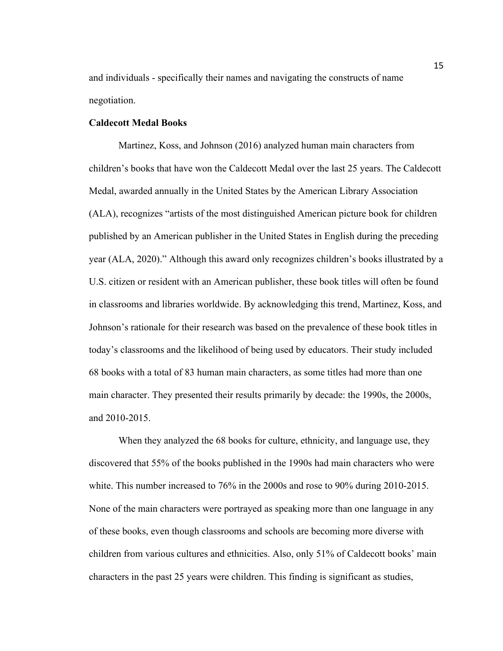and individuals - specifically their names and navigating the constructs of name negotiation.

# **Caldecott Medal Books**

Martinez, Koss, and Johnson (2016) analyzed human main characters from children's books that have won the Caldecott Medal over the last 25 years. The Caldecott Medal, awarded annually in the United States by the American Library Association (ALA), recognizes "artists of the most distinguished American picture book for children published by an American publisher in the United States in English during the preceding year (ALA, 2020)." Although this award only recognizes children's books illustrated by a U.S. citizen or resident with an American publisher, these book titles will often be found in classrooms and libraries worldwide. By acknowledging this trend, Martinez, Koss, and Johnson's rationale for their research was based on the prevalence of these book titles in today's classrooms and the likelihood of being used by educators. Their study included 68 books with a total of 83 human main characters, as some titles had more than one main character. They presented their results primarily by decade: the 1990s, the 2000s, and 2010-2015.

When they analyzed the 68 books for culture, ethnicity, and language use, they discovered that 55% of the books published in the 1990s had main characters who were white. This number increased to 76% in the 2000s and rose to 90% during 2010-2015. None of the main characters were portrayed as speaking more than one language in any of these books, even though classrooms and schools are becoming more diverse with children from various cultures and ethnicities. Also, only 51% of Caldecott books' main characters in the past 25 years were children. This finding is significant as studies,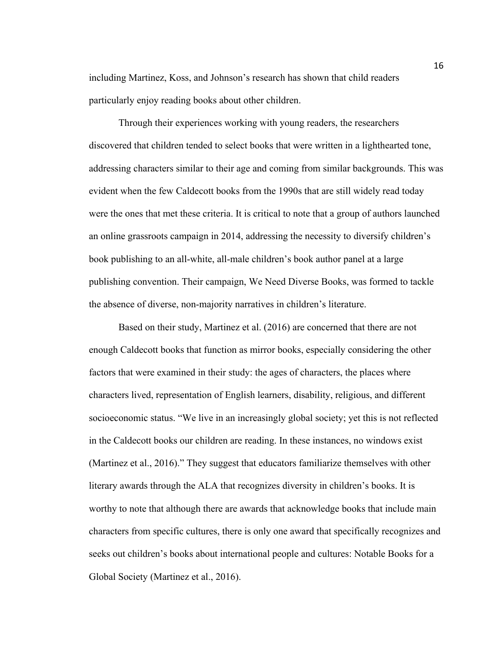including Martinez, Koss, and Johnson's research has shown that child readers particularly enjoy reading books about other children.

Through their experiences working with young readers, the researchers discovered that children tended to select books that were written in a lighthearted tone, addressing characters similar to their age and coming from similar backgrounds. This was evident when the few Caldecott books from the 1990s that are still widely read today were the ones that met these criteria. It is critical to note that a group of authors launched an online grassroots campaign in 2014, addressing the necessity to diversify children's book publishing to an all-white, all-male children's book author panel at a large publishing convention. Their campaign, We Need Diverse Books, was formed to tackle the absence of diverse, non-majority narratives in children's literature.

Based on their study, Martinez et al. (2016) are concerned that there are not enough Caldecott books that function as mirror books, especially considering the other factors that were examined in their study: the ages of characters, the places where characters lived, representation of English learners, disability, religious, and different socioeconomic status. "We live in an increasingly global society; yet this is not reflected in the Caldecott books our children are reading. In these instances, no windows exist (Martinez et al., 2016)." They suggest that educators familiarize themselves with other literary awards through the ALA that recognizes diversity in children's books. It is worthy to note that although there are awards that acknowledge books that include main characters from specific cultures, there is only one award that specifically recognizes and seeks out children's books about international people and cultures: Notable Books for a Global Society (Martinez et al., 2016).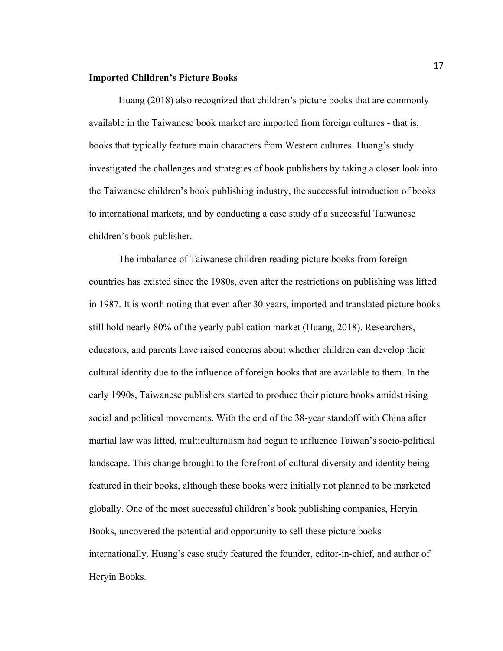#### **Imported Children's Picture Books**

Huang (2018) also recognized that children's picture books that are commonly available in the Taiwanese book market are imported from foreign cultures - that is, books that typically feature main characters from Western cultures. Huang's study investigated the challenges and strategies of book publishers by taking a closer look into the Taiwanese children's book publishing industry, the successful introduction of books to international markets, and by conducting a case study of a successful Taiwanese children's book publisher.

The imbalance of Taiwanese children reading picture books from foreign countries has existed since the 1980s, even after the restrictions on publishing was lifted in 1987. It is worth noting that even after 30 years, imported and translated picture books still hold nearly 80% of the yearly publication market (Huang, 2018). Researchers, educators, and parents have raised concerns about whether children can develop their cultural identity due to the influence of foreign books that are available to them. In the early 1990s, Taiwanese publishers started to produce their picture books amidst rising social and political movements. With the end of the 38-year standoff with China after martial law was lifted, multiculturalism had begun to influence Taiwan's socio-political landscape. This change brought to the forefront of cultural diversity and identity being featured in their books, although these books were initially not planned to be marketed globally. One of the most successful children's book publishing companies, Heryin Books, uncovered the potential and opportunity to sell these picture books internationally. Huang's case study featured the founder, editor-in-chief, and author of Heryin Books.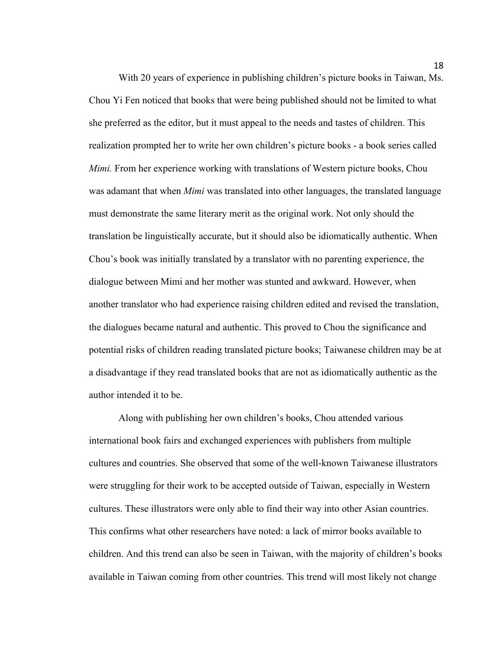With 20 years of experience in publishing children's picture books in Taiwan, Ms. Chou Yi Fen noticed that books that were being published should not be limited to what she preferred as the editor, but it must appeal to the needs and tastes of children. This realization prompted her to write her own children's picture books - a book series called *Mimi.* From her experience working with translations of Western picture books, Chou was adamant that when *Mimi* was translated into other languages, the translated language must demonstrate the same literary merit as the original work. Not only should the translation be linguistically accurate, but it should also be idiomatically authentic. When Chou's book was initially translated by a translator with no parenting experience, the dialogue between Mimi and her mother was stunted and awkward. However, when another translator who had experience raising children edited and revised the translation, the dialogues became natural and authentic. This proved to Chou the significance and potential risks of children reading translated picture books; Taiwanese children may be at a disadvantage if they read translated books that are not as idiomatically authentic as the author intended it to be.

Along with publishing her own children's books, Chou attended various international book fairs and exchanged experiences with publishers from multiple cultures and countries. She observed that some of the well-known Taiwanese illustrators were struggling for their work to be accepted outside of Taiwan, especially in Western cultures. These illustrators were only able to find their way into other Asian countries. This confirms what other researchers have noted: a lack of mirror books available to children. And this trend can also be seen in Taiwan, with the majority of children's books available in Taiwan coming from other countries. This trend will most likely not change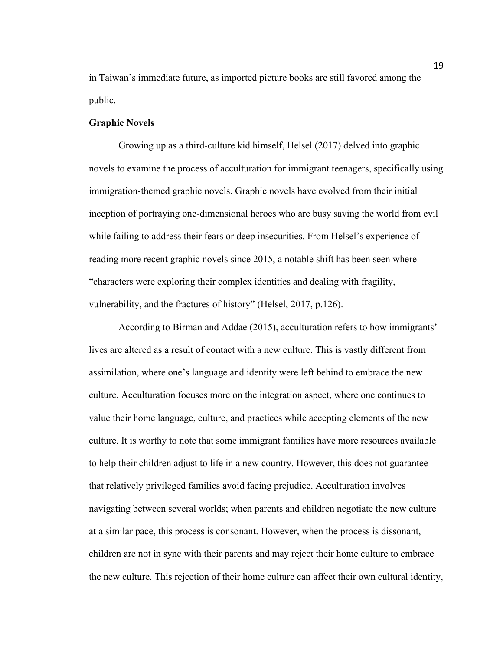in Taiwan's immediate future, as imported picture books are still favored among the public.

#### **Graphic Novels**

Growing up as a third-culture kid himself, Helsel (2017) delved into graphic novels to examine the process of acculturation for immigrant teenagers, specifically using immigration-themed graphic novels. Graphic novels have evolved from their initial inception of portraying one-dimensional heroes who are busy saving the world from evil while failing to address their fears or deep insecurities. From Helsel's experience of reading more recent graphic novels since 2015, a notable shift has been seen where "characters were exploring their complex identities and dealing with fragility, vulnerability, and the fractures of history" (Helsel, 2017, p.126).

According to Birman and Addae (2015), acculturation refers to how immigrants' lives are altered as a result of contact with a new culture. This is vastly different from assimilation, where one's language and identity were left behind to embrace the new culture. Acculturation focuses more on the integration aspect, where one continues to value their home language, culture, and practices while accepting elements of the new culture. It is worthy to note that some immigrant families have more resources available to help their children adjust to life in a new country. However, this does not guarantee that relatively privileged families avoid facing prejudice. Acculturation involves navigating between several worlds; when parents and children negotiate the new culture at a similar pace, this process is consonant. However, when the process is dissonant, children are not in sync with their parents and may reject their home culture to embrace the new culture. This rejection of their home culture can affect their own cultural identity,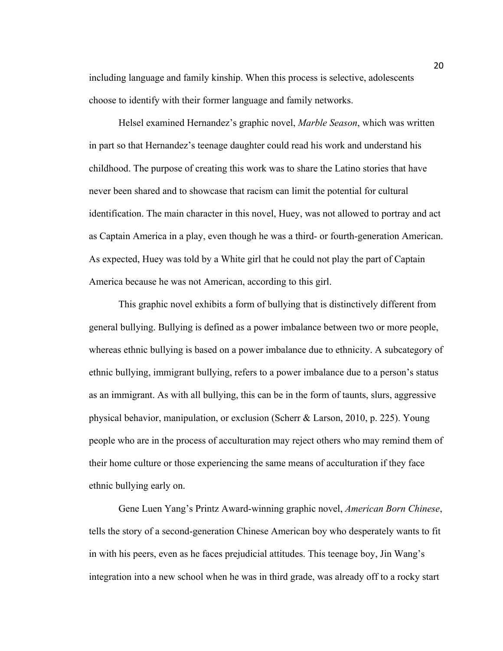including language and family kinship. When this process is selective, adolescents choose to identify with their former language and family networks.

Helsel examined Hernandez's graphic novel, *Marble Season*, which was written in part so that Hernandez's teenage daughter could read his work and understand his childhood. The purpose of creating this work was to share the Latino stories that have never been shared and to showcase that racism can limit the potential for cultural identification. The main character in this novel, Huey, was not allowed to portray and act as Captain America in a play, even though he was a third- or fourth-generation American. As expected, Huey was told by a White girl that he could not play the part of Captain America because he was not American, according to this girl.

This graphic novel exhibits a form of bullying that is distinctively different from general bullying. Bullying is defined as a power imbalance between two or more people, whereas ethnic bullying is based on a power imbalance due to ethnicity. A subcategory of ethnic bullying, immigrant bullying, refers to a power imbalance due to a person's status as an immigrant. As with all bullying, this can be in the form of taunts, slurs, aggressive physical behavior, manipulation, or exclusion (Scherr & Larson, 2010, p. 225). Young people who are in the process of acculturation may reject others who may remind them of their home culture or those experiencing the same means of acculturation if they face ethnic bullying early on.

Gene Luen Yang's Printz Award-winning graphic novel, *American Born Chinese*, tells the story of a second-generation Chinese American boy who desperately wants to fit in with his peers, even as he faces prejudicial attitudes. This teenage boy, Jin Wang's integration into a new school when he was in third grade, was already off to a rocky start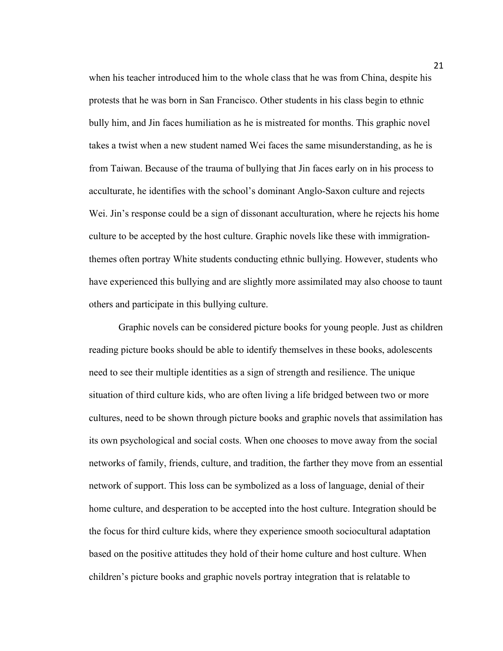when his teacher introduced him to the whole class that he was from China, despite his protests that he was born in San Francisco. Other students in his class begin to ethnic bully him, and Jin faces humiliation as he is mistreated for months. This graphic novel takes a twist when a new student named Wei faces the same misunderstanding, as he is from Taiwan. Because of the trauma of bullying that Jin faces early on in his process to acculturate, he identifies with the school's dominant Anglo-Saxon culture and rejects Wei. Jin's response could be a sign of dissonant acculturation, where he rejects his home culture to be accepted by the host culture. Graphic novels like these with immigrationthemes often portray White students conducting ethnic bullying. However, students who have experienced this bullying and are slightly more assimilated may also choose to taunt others and participate in this bullying culture.

Graphic novels can be considered picture books for young people. Just as children reading picture books should be able to identify themselves in these books, adolescents need to see their multiple identities as a sign of strength and resilience. The unique situation of third culture kids, who are often living a life bridged between two or more cultures, need to be shown through picture books and graphic novels that assimilation has its own psychological and social costs. When one chooses to move away from the social networks of family, friends, culture, and tradition, the farther they move from an essential network of support. This loss can be symbolized as a loss of language, denial of their home culture, and desperation to be accepted into the host culture. Integration should be the focus for third culture kids, where they experience smooth sociocultural adaptation based on the positive attitudes they hold of their home culture and host culture. When children's picture books and graphic novels portray integration that is relatable to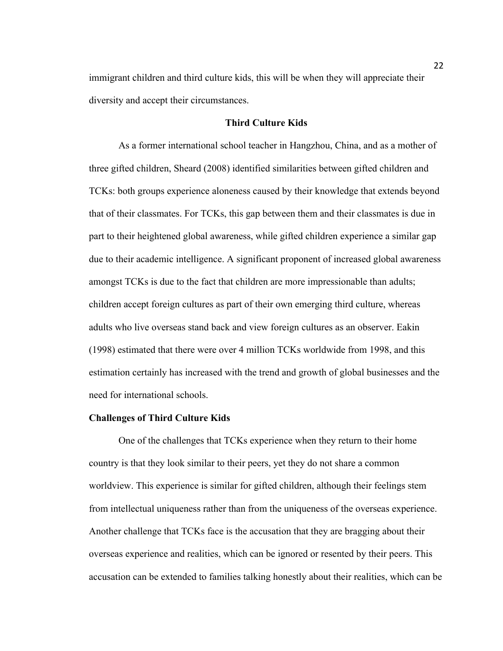immigrant children and third culture kids, this will be when they will appreciate their diversity and accept their circumstances.

# **Third Culture Kids**

As a former international school teacher in Hangzhou, China, and as a mother of three gifted children, Sheard (2008) identified similarities between gifted children and TCKs: both groups experience aloneness caused by their knowledge that extends beyond that of their classmates. For TCKs, this gap between them and their classmates is due in part to their heightened global awareness, while gifted children experience a similar gap due to their academic intelligence. A significant proponent of increased global awareness amongst TCKs is due to the fact that children are more impressionable than adults; children accept foreign cultures as part of their own emerging third culture, whereas adults who live overseas stand back and view foreign cultures as an observer. Eakin (1998) estimated that there were over 4 million TCKs worldwide from 1998, and this estimation certainly has increased with the trend and growth of global businesses and the need for international schools.

## **Challenges of Third Culture Kids**

One of the challenges that TCKs experience when they return to their home country is that they look similar to their peers, yet they do not share a common worldview. This experience is similar for gifted children, although their feelings stem from intellectual uniqueness rather than from the uniqueness of the overseas experience. Another challenge that TCKs face is the accusation that they are bragging about their overseas experience and realities, which can be ignored or resented by their peers. This accusation can be extended to families talking honestly about their realities, which can be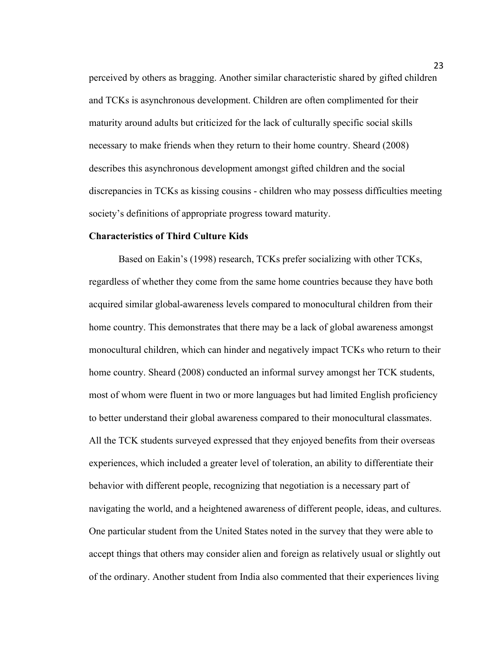perceived by others as bragging. Another similar characteristic shared by gifted children and TCKs is asynchronous development. Children are often complimented for their maturity around adults but criticized for the lack of culturally specific social skills necessary to make friends when they return to their home country. Sheard (2008) describes this asynchronous development amongst gifted children and the social discrepancies in TCKs as kissing cousins - children who may possess difficulties meeting society's definitions of appropriate progress toward maturity.

#### **Characteristics of Third Culture Kids**

Based on Eakin's (1998) research, TCKs prefer socializing with other TCKs, regardless of whether they come from the same home countries because they have both acquired similar global-awareness levels compared to monocultural children from their home country. This demonstrates that there may be a lack of global awareness amongst monocultural children, which can hinder and negatively impact TCKs who return to their home country. Sheard (2008) conducted an informal survey amongst her TCK students, most of whom were fluent in two or more languages but had limited English proficiency to better understand their global awareness compared to their monocultural classmates. All the TCK students surveyed expressed that they enjoyed benefits from their overseas experiences, which included a greater level of toleration, an ability to differentiate their behavior with different people, recognizing that negotiation is a necessary part of navigating the world, and a heightened awareness of different people, ideas, and cultures. One particular student from the United States noted in the survey that they were able to accept things that others may consider alien and foreign as relatively usual or slightly out of the ordinary. Another student from India also commented that their experiences living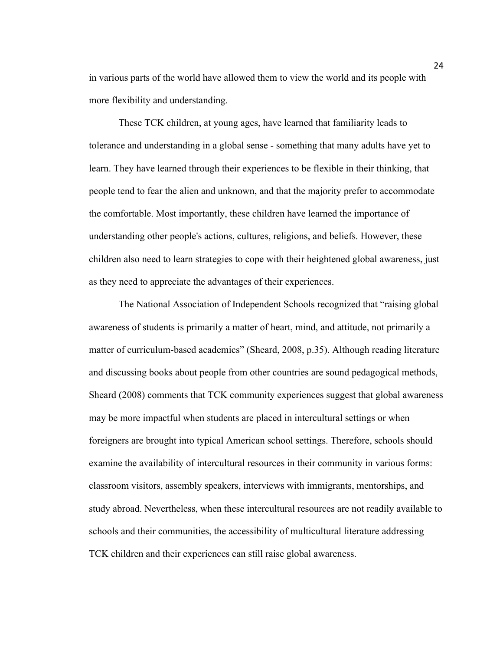in various parts of the world have allowed them to view the world and its people with more flexibility and understanding.

These TCK children, at young ages, have learned that familiarity leads to tolerance and understanding in a global sense - something that many adults have yet to learn. They have learned through their experiences to be flexible in their thinking, that people tend to fear the alien and unknown, and that the majority prefer to accommodate the comfortable. Most importantly, these children have learned the importance of understanding other people's actions, cultures, religions, and beliefs. However, these children also need to learn strategies to cope with their heightened global awareness, just as they need to appreciate the advantages of their experiences.

The National Association of Independent Schools recognized that "raising global awareness of students is primarily a matter of heart, mind, and attitude, not primarily a matter of curriculum-based academics" (Sheard, 2008, p.35). Although reading literature and discussing books about people from other countries are sound pedagogical methods, Sheard (2008) comments that TCK community experiences suggest that global awareness may be more impactful when students are placed in intercultural settings or when foreigners are brought into typical American school settings. Therefore, schools should examine the availability of intercultural resources in their community in various forms: classroom visitors, assembly speakers, interviews with immigrants, mentorships, and study abroad. Nevertheless, when these intercultural resources are not readily available to schools and their communities, the accessibility of multicultural literature addressing TCK children and their experiences can still raise global awareness.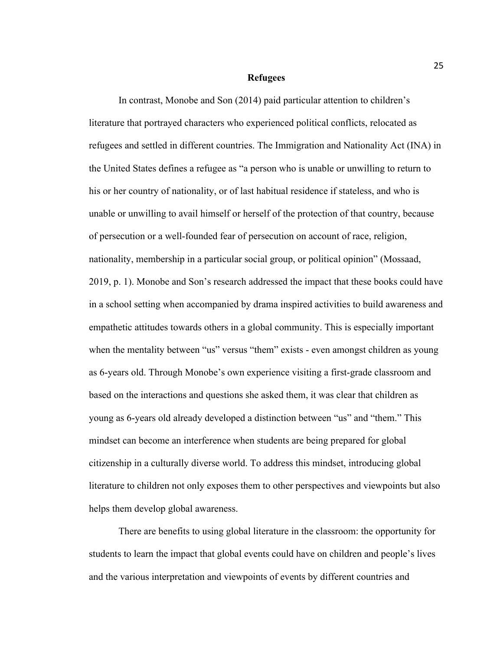#### **Refugees**

In contrast, Monobe and Son (2014) paid particular attention to children's literature that portrayed characters who experienced political conflicts, relocated as refugees and settled in different countries. The Immigration and Nationality Act (INA) in the United States defines a refugee as "a person who is unable or unwilling to return to his or her country of nationality, or of last habitual residence if stateless, and who is unable or unwilling to avail himself or herself of the protection of that country, because of persecution or a well-founded fear of persecution on account of race, religion, nationality, membership in a particular social group, or political opinion" (Mossaad, 2019, p. 1). Monobe and Son's research addressed the impact that these books could have in a school setting when accompanied by drama inspired activities to build awareness and empathetic attitudes towards others in a global community. This is especially important when the mentality between "us" versus "them" exists - even amongst children as young as 6-years old. Through Monobe's own experience visiting a first-grade classroom and based on the interactions and questions she asked them, it was clear that children as young as 6-years old already developed a distinction between "us" and "them." This mindset can become an interference when students are being prepared for global citizenship in a culturally diverse world. To address this mindset, introducing global literature to children not only exposes them to other perspectives and viewpoints but also helps them develop global awareness.

There are benefits to using global literature in the classroom: the opportunity for students to learn the impact that global events could have on children and people's lives and the various interpretation and viewpoints of events by different countries and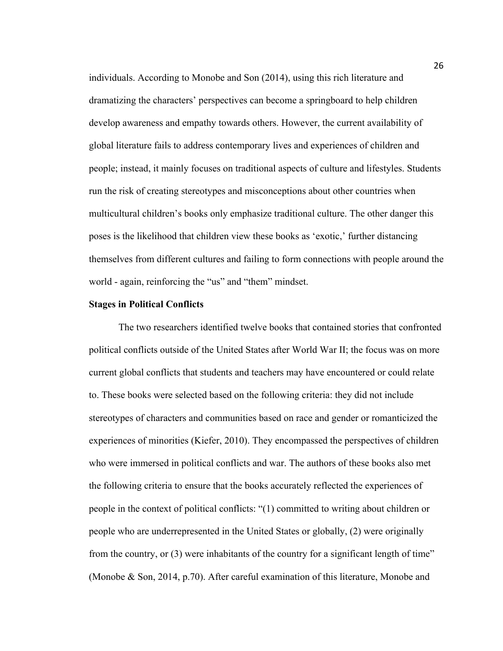individuals. According to Monobe and Son (2014), using this rich literature and dramatizing the characters' perspectives can become a springboard to help children develop awareness and empathy towards others. However, the current availability of global literature fails to address contemporary lives and experiences of children and people; instead, it mainly focuses on traditional aspects of culture and lifestyles. Students run the risk of creating stereotypes and misconceptions about other countries when multicultural children's books only emphasize traditional culture. The other danger this poses is the likelihood that children view these books as 'exotic,' further distancing themselves from different cultures and failing to form connections with people around the world - again, reinforcing the "us" and "them" mindset.

## **Stages in Political Conflicts**

The two researchers identified twelve books that contained stories that confronted political conflicts outside of the United States after World War II; the focus was on more current global conflicts that students and teachers may have encountered or could relate to. These books were selected based on the following criteria: they did not include stereotypes of characters and communities based on race and gender or romanticized the experiences of minorities (Kiefer, 2010). They encompassed the perspectives of children who were immersed in political conflicts and war. The authors of these books also met the following criteria to ensure that the books accurately reflected the experiences of people in the context of political conflicts: "(1) committed to writing about children or people who are underrepresented in the United States or globally, (2) were originally from the country, or (3) were inhabitants of the country for a significant length of time" (Monobe & Son, 2014, p.70). After careful examination of this literature, Monobe and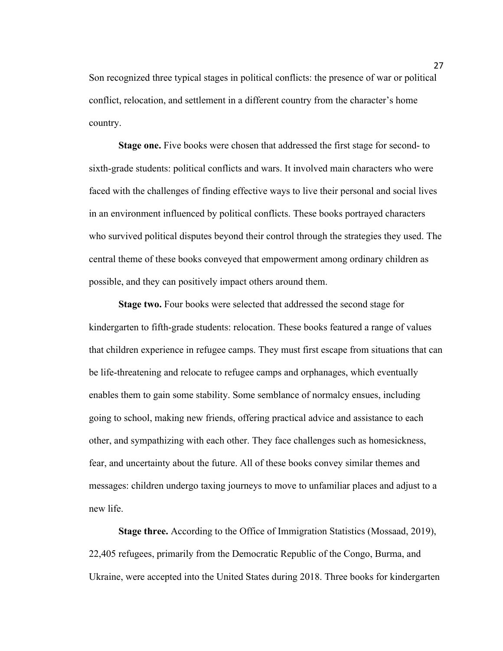Son recognized three typical stages in political conflicts: the presence of war or political conflict, relocation, and settlement in a different country from the character's home country.

**Stage one.** Five books were chosen that addressed the first stage for second- to sixth-grade students: political conflicts and wars. It involved main characters who were faced with the challenges of finding effective ways to live their personal and social lives in an environment influenced by political conflicts. These books portrayed characters who survived political disputes beyond their control through the strategies they used. The central theme of these books conveyed that empowerment among ordinary children as possible, and they can positively impact others around them.

**Stage two.** Four books were selected that addressed the second stage for kindergarten to fifth-grade students: relocation. These books featured a range of values that children experience in refugee camps. They must first escape from situations that can be life-threatening and relocate to refugee camps and orphanages, which eventually enables them to gain some stability. Some semblance of normalcy ensues, including going to school, making new friends, offering practical advice and assistance to each other, and sympathizing with each other. They face challenges such as homesickness, fear, and uncertainty about the future. All of these books convey similar themes and messages: children undergo taxing journeys to move to unfamiliar places and adjust to a new life.

**Stage three.** According to the Office of Immigration Statistics (Mossaad, 2019), 22,405 refugees, primarily from the Democratic Republic of the Congo, Burma, and Ukraine, were accepted into the United States during 2018. Three books for kindergarten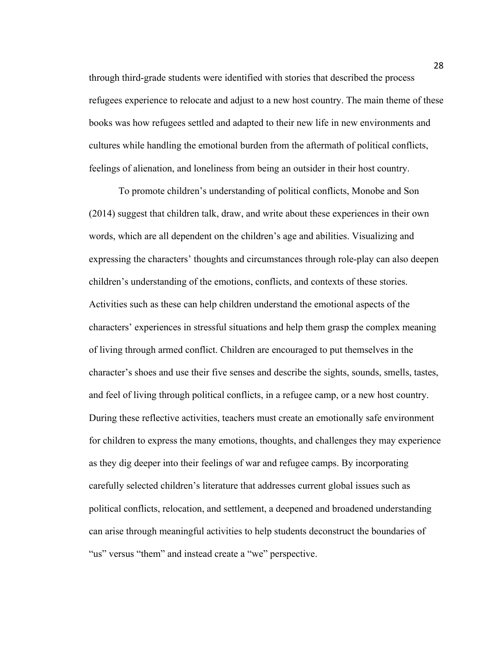through third-grade students were identified with stories that described the process refugees experience to relocate and adjust to a new host country. The main theme of these books was how refugees settled and adapted to their new life in new environments and cultures while handling the emotional burden from the aftermath of political conflicts, feelings of alienation, and loneliness from being an outsider in their host country.

To promote children's understanding of political conflicts, Monobe and Son (2014) suggest that children talk, draw, and write about these experiences in their own words, which are all dependent on the children's age and abilities. Visualizing and expressing the characters' thoughts and circumstances through role-play can also deepen children's understanding of the emotions, conflicts, and contexts of these stories. Activities such as these can help children understand the emotional aspects of the characters' experiences in stressful situations and help them grasp the complex meaning of living through armed conflict. Children are encouraged to put themselves in the character's shoes and use their five senses and describe the sights, sounds, smells, tastes, and feel of living through political conflicts, in a refugee camp, or a new host country. During these reflective activities, teachers must create an emotionally safe environment for children to express the many emotions, thoughts, and challenges they may experience as they dig deeper into their feelings of war and refugee camps. By incorporating carefully selected children's literature that addresses current global issues such as political conflicts, relocation, and settlement, a deepened and broadened understanding can arise through meaningful activities to help students deconstruct the boundaries of "us" versus "them" and instead create a "we" perspective.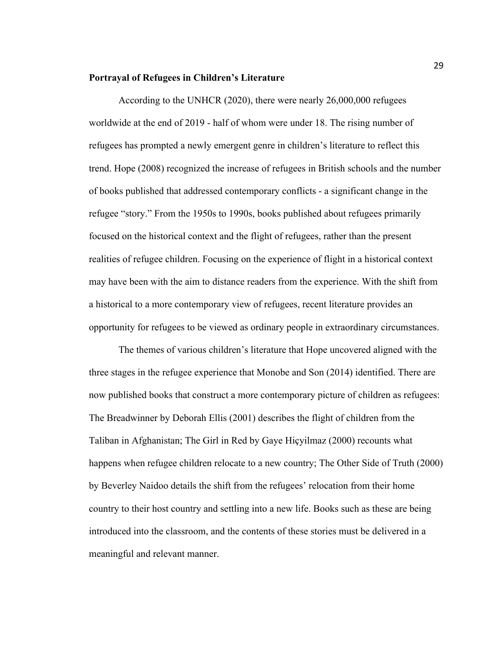#### **Portrayal of Refugees in Children's Literature**

According to the UNHCR (2020), there were nearly 26,000,000 refugees worldwide at the end of 2019 - half of whom were under 18. The rising number of refugees has prompted a newly emergent genre in children's literature to reflect this trend. Hope (2008) recognized the increase of refugees in British schools and the number of books published that addressed contemporary conflicts - a significant change in the refugee "story." From the 1950s to 1990s, books published about refugees primarily focused on the historical context and the flight of refugees, rather than the present realities of refugee children. Focusing on the experience of flight in a historical context may have been with the aim to distance readers from the experience. With the shift from a historical to a more contemporary view of refugees, recent literature provides an opportunity for refugees to be viewed as ordinary people in extraordinary circumstances.

The themes of various children's literature that Hope uncovered aligned with the three stages in the refugee experience that Monobe and Son (2014) identified. There are now published books that construct a more contemporary picture of children as refugees: The Breadwinner by Deborah Ellis (2001) describes the flight of children from the Taliban in Afghanistan; The Girl in Red by Gaye Hiçyilmaz (2000) recounts what happens when refugee children relocate to a new country; The Other Side of Truth (2000) by Beverley Naidoo details the shift from the refugees' relocation from their home country to their host country and settling into a new life. Books such as these are being introduced into the classroom, and the contents of these stories must be delivered in a meaningful and relevant manner.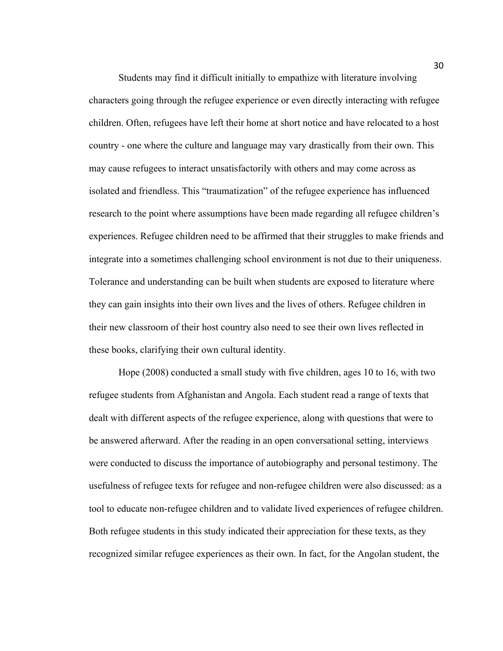Students may find it difficult initially to empathize with literature involving characters going through the refugee experience or even directly interacting with refugee children. Often, refugees have left their home at short notice and have relocated to a host country - one where the culture and language may vary drastically from their own. This may cause refugees to interact unsatisfactorily with others and may come across as isolated and friendless. This "traumatization" of the refugee experience has influenced research to the point where assumptions have been made regarding all refugee children's experiences. Refugee children need to be affirmed that their struggles to make friends and integrate into a sometimes challenging school environment is not due to their uniqueness. Tolerance and understanding can be built when students are exposed to literature where they can gain insights into their own lives and the lives of others. Refugee children in their new classroom of their host country also need to see their own lives reflected in these books, clarifying their own cultural identity.

Hope (2008) conducted a small study with five children, ages 10 to 16, with two refugee students from Afghanistan and Angola. Each student read a range of texts that dealt with different aspects of the refugee experience, along with questions that were to be answered afterward. After the reading in an open conversational setting, interviews were conducted to discuss the importance of autobiography and personal testimony. The usefulness of refugee texts for refugee and non-refugee children were also discussed: as a tool to educate non-refugee children and to validate lived experiences of refugee children. Both refugee students in this study indicated their appreciation for these texts, as they recognized similar refugee experiences as their own. In fact, for the Angolan student, the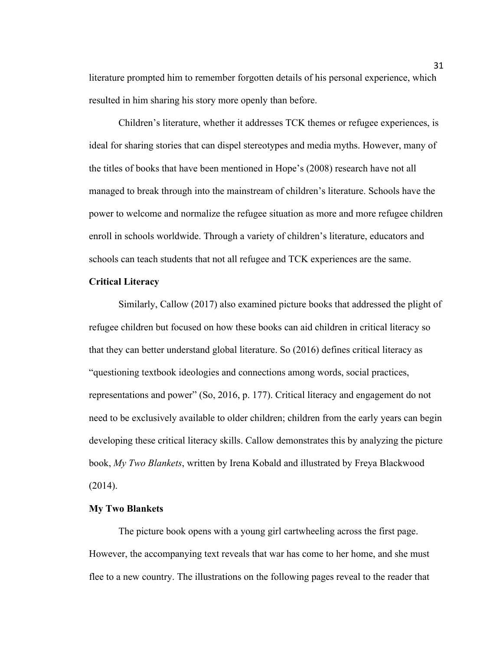literature prompted him to remember forgotten details of his personal experience, which resulted in him sharing his story more openly than before.

Children's literature, whether it addresses TCK themes or refugee experiences, is ideal for sharing stories that can dispel stereotypes and media myths. However, many of the titles of books that have been mentioned in Hope's (2008) research have not all managed to break through into the mainstream of children's literature. Schools have the power to welcome and normalize the refugee situation as more and more refugee children enroll in schools worldwide. Through a variety of children's literature, educators and schools can teach students that not all refugee and TCK experiences are the same.

#### **Critical Literacy**

Similarly, Callow (2017) also examined picture books that addressed the plight of refugee children but focused on how these books can aid children in critical literacy so that they can better understand global literature. So (2016) defines critical literacy as "questioning textbook ideologies and connections among words, social practices, representations and power" (So, 2016, p. 177). Critical literacy and engagement do not need to be exclusively available to older children; children from the early years can begin developing these critical literacy skills. Callow demonstrates this by analyzing the picture book, *My Two Blankets*, written by Irena Kobald and illustrated by Freya Blackwood (2014).

## **My Two Blankets**

The picture book opens with a young girl cartwheeling across the first page. However, the accompanying text reveals that war has come to her home, and she must flee to a new country. The illustrations on the following pages reveal to the reader that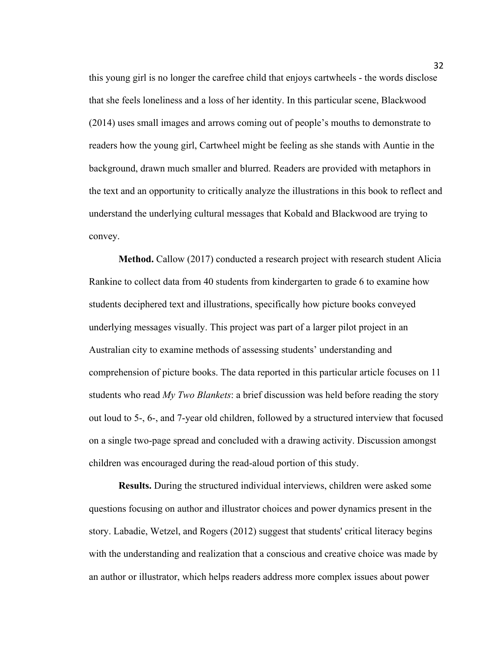this young girl is no longer the carefree child that enjoys cartwheels - the words disclose that she feels loneliness and a loss of her identity. In this particular scene, Blackwood (2014) uses small images and arrows coming out of people's mouths to demonstrate to readers how the young girl, Cartwheel might be feeling as she stands with Auntie in the background, drawn much smaller and blurred. Readers are provided with metaphors in the text and an opportunity to critically analyze the illustrations in this book to reflect and understand the underlying cultural messages that Kobald and Blackwood are trying to convey.

**Method.** Callow (2017) conducted a research project with research student Alicia Rankine to collect data from 40 students from kindergarten to grade 6 to examine how students deciphered text and illustrations, specifically how picture books conveyed underlying messages visually. This project was part of a larger pilot project in an Australian city to examine methods of assessing students' understanding and comprehension of picture books. The data reported in this particular article focuses on 11 students who read *My Two Blankets*: a brief discussion was held before reading the story out loud to 5-, 6-, and 7-year old children, followed by a structured interview that focused on a single two-page spread and concluded with a drawing activity. Discussion amongst children was encouraged during the read-aloud portion of this study.

**Results.** During the structured individual interviews, children were asked some questions focusing on author and illustrator choices and power dynamics present in the story. Labadie, Wetzel, and Rogers (2012) suggest that students' critical literacy begins with the understanding and realization that a conscious and creative choice was made by an author or illustrator, which helps readers address more complex issues about power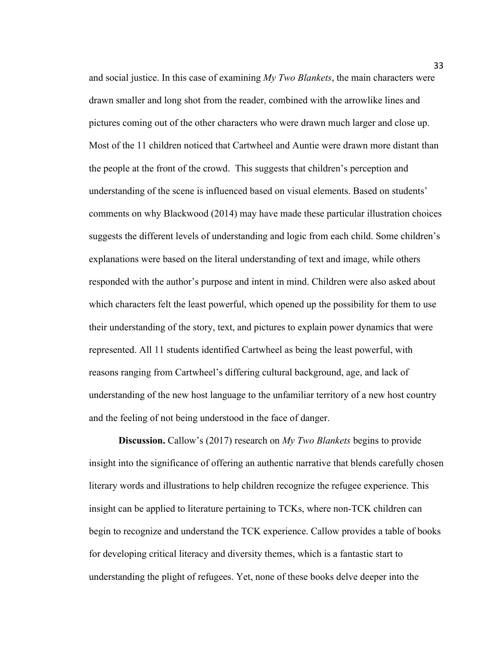and social justice. In this case of examining *My Two Blankets*, the main characters were drawn smaller and long shot from the reader, combined with the arrowlike lines and pictures coming out of the other characters who were drawn much larger and close up. Most of the 11 children noticed that Cartwheel and Auntie were drawn more distant than the people at the front of the crowd. This suggests that children's perception and understanding of the scene is influenced based on visual elements. Based on students' comments on why Blackwood (2014) may have made these particular illustration choices suggests the different levels of understanding and logic from each child. Some children's explanations were based on the literal understanding of text and image, while others responded with the author's purpose and intent in mind. Children were also asked about which characters felt the least powerful, which opened up the possibility for them to use their understanding of the story, text, and pictures to explain power dynamics that were represented. All 11 students identified Cartwheel as being the least powerful, with reasons ranging from Cartwheel's differing cultural background, age, and lack of understanding of the new host language to the unfamiliar territory of a new host country and the feeling of not being understood in the face of danger.

**Discussion.** Callow's (2017) research on *My Two Blankets* begins to provide insight into the significance of offering an authentic narrative that blends carefully chosen literary words and illustrations to help children recognize the refugee experience. This insight can be applied to literature pertaining to TCKs, where non-TCK children can begin to recognize and understand the TCK experience. Callow provides a table of books for developing critical literacy and diversity themes, which is a fantastic start to understanding the plight of refugees. Yet, none of these books delve deeper into the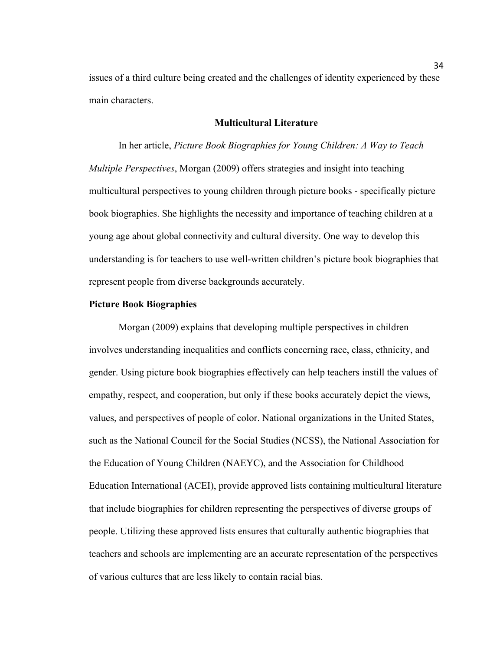issues of a third culture being created and the challenges of identity experienced by these main characters.

# **Multicultural Literature**

In her article, *Picture Book Biographies for Young Children: A Way to Teach Multiple Perspectives*, Morgan (2009) offers strategies and insight into teaching multicultural perspectives to young children through picture books - specifically picture book biographies. She highlights the necessity and importance of teaching children at a young age about global connectivity and cultural diversity. One way to develop this understanding is for teachers to use well-written children's picture book biographies that represent people from diverse backgrounds accurately.

# **Picture Book Biographies**

Morgan (2009) explains that developing multiple perspectives in children involves understanding inequalities and conflicts concerning race, class, ethnicity, and gender. Using picture book biographies effectively can help teachers instill the values of empathy, respect, and cooperation, but only if these books accurately depict the views, values, and perspectives of people of color. National organizations in the United States, such as the National Council for the Social Studies (NCSS), the National Association for the Education of Young Children (NAEYC), and the Association for Childhood Education International (ACEI), provide approved lists containing multicultural literature that include biographies for children representing the perspectives of diverse groups of people. Utilizing these approved lists ensures that culturally authentic biographies that teachers and schools are implementing are an accurate representation of the perspectives of various cultures that are less likely to contain racial bias.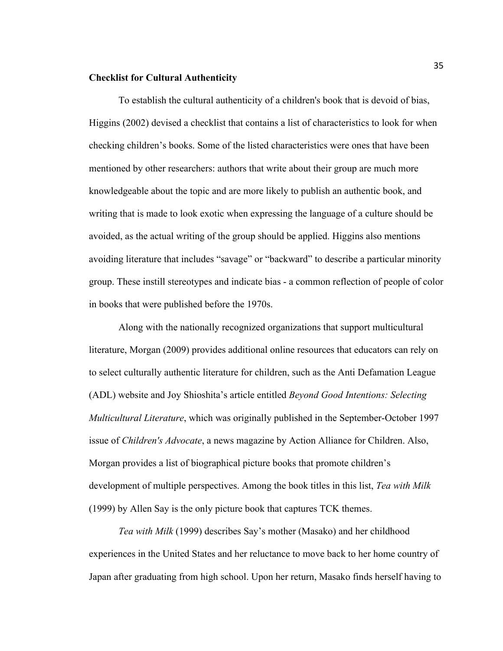### **Checklist for Cultural Authenticity**

To establish the cultural authenticity of a children's book that is devoid of bias, Higgins (2002) devised a checklist that contains a list of characteristics to look for when checking children's books. Some of the listed characteristics were ones that have been mentioned by other researchers: authors that write about their group are much more knowledgeable about the topic and are more likely to publish an authentic book, and writing that is made to look exotic when expressing the language of a culture should be avoided, as the actual writing of the group should be applied. Higgins also mentions avoiding literature that includes "savage" or "backward" to describe a particular minority group. These instill stereotypes and indicate bias - a common reflection of people of color in books that were published before the 1970s.

Along with the nationally recognized organizations that support multicultural literature, Morgan (2009) provides additional online resources that educators can rely on to select culturally authentic literature for children, such as the Anti Defamation League (ADL) website and Joy Shioshita's article entitled *Beyond Good Intentions: Selecting Multicultural Literature*, which was originally published in the September-October 1997 issue of *Children's Advocate*, a news magazine by Action Alliance for Children. Also, Morgan provides a list of biographical picture books that promote children's development of multiple perspectives. Among the book titles in this list, *Tea with Milk* (1999) by Allen Say is the only picture book that captures TCK themes.

*Tea with Milk* (1999) describes Say's mother (Masako) and her childhood experiences in the United States and her reluctance to move back to her home country of Japan after graduating from high school. Upon her return, Masako finds herself having to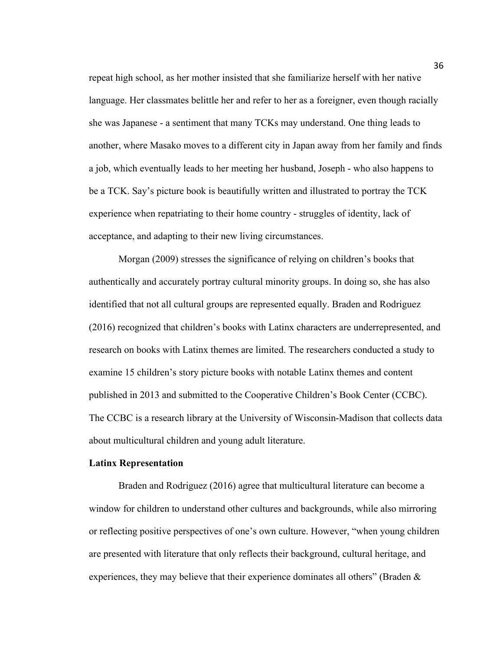repeat high school, as her mother insisted that she familiarize herself with her native language. Her classmates belittle her and refer to her as a foreigner, even though racially she was Japanese - a sentiment that many TCKs may understand. One thing leads to another, where Masako moves to a different city in Japan away from her family and finds a job, which eventually leads to her meeting her husband, Joseph - who also happens to be a TCK. Say's picture book is beautifully written and illustrated to portray the TCK experience when repatriating to their home country - struggles of identity, lack of acceptance, and adapting to their new living circumstances.

Morgan (2009) stresses the significance of relying on children's books that authentically and accurately portray cultural minority groups. In doing so, she has also identified that not all cultural groups are represented equally. Braden and Rodriguez (2016) recognized that children's books with Latinx characters are underrepresented, and research on books with Latinx themes are limited. The researchers conducted a study to examine 15 children's story picture books with notable Latinx themes and content published in 2013 and submitted to the Cooperative Children's Book Center (CCBC). The CCBC is a research library at the University of Wisconsin-Madison that collects data about multicultural children and young adult literature.

#### **Latinx Representation**

Braden and Rodriguez (2016) agree that multicultural literature can become a window for children to understand other cultures and backgrounds, while also mirroring or reflecting positive perspectives of one's own culture. However, "when young children are presented with literature that only reflects their background, cultural heritage, and experiences, they may believe that their experience dominates all others" (Braden &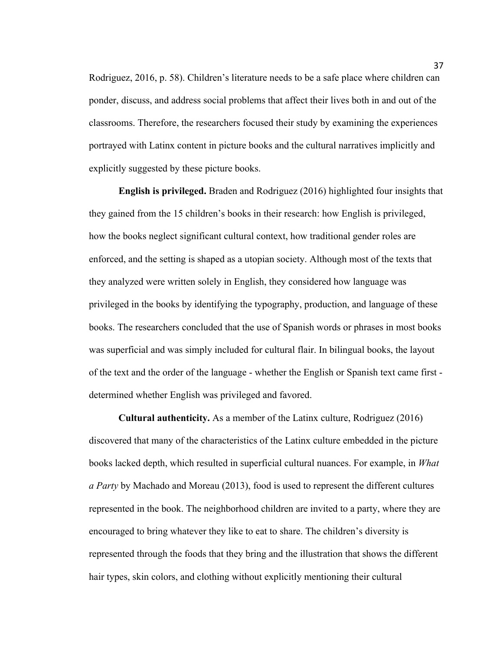Rodriguez, 2016, p. 58). Children's literature needs to be a safe place where children can ponder, discuss, and address social problems that affect their lives both in and out of the classrooms. Therefore, the researchers focused their study by examining the experiences portrayed with Latinx content in picture books and the cultural narratives implicitly and explicitly suggested by these picture books.

**English is privileged.** Braden and Rodriguez (2016) highlighted four insights that they gained from the 15 children's books in their research: how English is privileged, how the books neglect significant cultural context, how traditional gender roles are enforced, and the setting is shaped as a utopian society. Although most of the texts that they analyzed were written solely in English, they considered how language was privileged in the books by identifying the typography, production, and language of these books. The researchers concluded that the use of Spanish words or phrases in most books was superficial and was simply included for cultural flair. In bilingual books, the layout of the text and the order of the language - whether the English or Spanish text came first determined whether English was privileged and favored.

**Cultural authenticity.** As a member of the Latinx culture, Rodriguez (2016) discovered that many of the characteristics of the Latinx culture embedded in the picture books lacked depth, which resulted in superficial cultural nuances. For example, in *What a Party* by Machado and Moreau (2013), food is used to represent the different cultures represented in the book. The neighborhood children are invited to a party, where they are encouraged to bring whatever they like to eat to share. The children's diversity is represented through the foods that they bring and the illustration that shows the different hair types, skin colors, and clothing without explicitly mentioning their cultural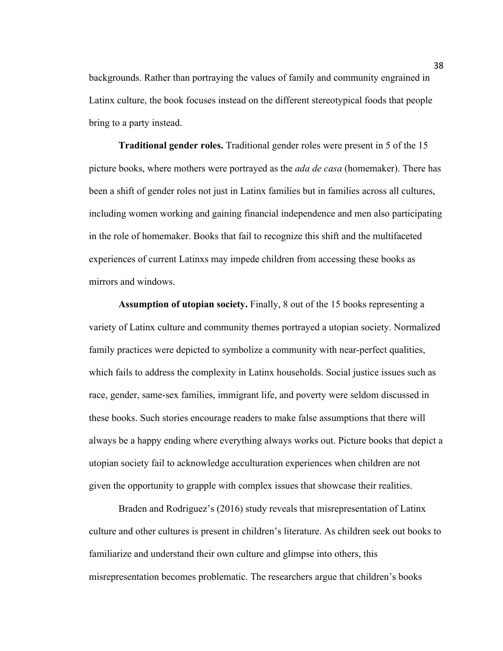backgrounds. Rather than portraying the values of family and community engrained in Latinx culture, the book focuses instead on the different stereotypical foods that people bring to a party instead.

**Traditional gender roles.** Traditional gender roles were present in 5 of the 15 picture books, where mothers were portrayed as the *ada de casa* (homemaker). There has been a shift of gender roles not just in Latinx families but in families across all cultures, including women working and gaining financial independence and men also participating in the role of homemaker. Books that fail to recognize this shift and the multifaceted experiences of current Latinxs may impede children from accessing these books as mirrors and windows.

**Assumption of utopian society.** Finally, 8 out of the 15 books representing a variety of Latinx culture and community themes portrayed a utopian society. Normalized family practices were depicted to symbolize a community with near-perfect qualities, which fails to address the complexity in Latinx households. Social justice issues such as race, gender, same-sex families, immigrant life, and poverty were seldom discussed in these books. Such stories encourage readers to make false assumptions that there will always be a happy ending where everything always works out. Picture books that depict a utopian society fail to acknowledge acculturation experiences when children are not given the opportunity to grapple with complex issues that showcase their realities.

Braden and Rodriguez's (2016) study reveals that misrepresentation of Latinx culture and other cultures is present in children's literature. As children seek out books to familiarize and understand their own culture and glimpse into others, this misrepresentation becomes problematic. The researchers argue that children's books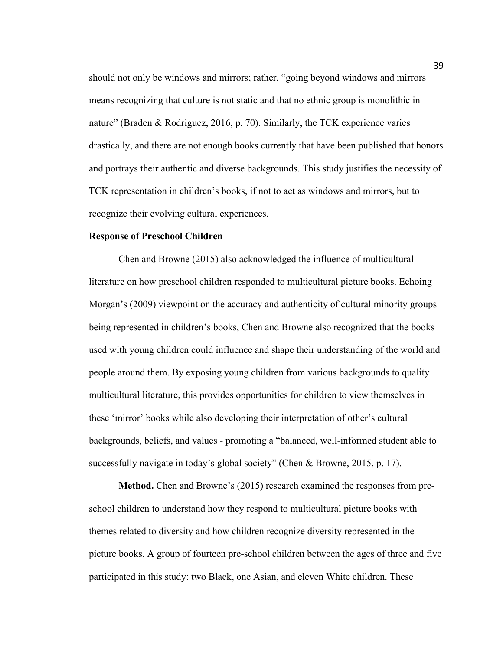should not only be windows and mirrors; rather, "going beyond windows and mirrors means recognizing that culture is not static and that no ethnic group is monolithic in nature" (Braden & Rodriguez, 2016, p. 70). Similarly, the TCK experience varies drastically, and there are not enough books currently that have been published that honors and portrays their authentic and diverse backgrounds. This study justifies the necessity of TCK representation in children's books, if not to act as windows and mirrors, but to recognize their evolving cultural experiences.

#### **Response of Preschool Children**

Chen and Browne (2015) also acknowledged the influence of multicultural literature on how preschool children responded to multicultural picture books. Echoing Morgan's (2009) viewpoint on the accuracy and authenticity of cultural minority groups being represented in children's books, Chen and Browne also recognized that the books used with young children could influence and shape their understanding of the world and people around them. By exposing young children from various backgrounds to quality multicultural literature, this provides opportunities for children to view themselves in these 'mirror' books while also developing their interpretation of other's cultural backgrounds, beliefs, and values - promoting a "balanced, well-informed student able to successfully navigate in today's global society" (Chen & Browne, 2015, p. 17).

**Method.** Chen and Browne's (2015) research examined the responses from preschool children to understand how they respond to multicultural picture books with themes related to diversity and how children recognize diversity represented in the picture books. A group of fourteen pre-school children between the ages of three and five participated in this study: two Black, one Asian, and eleven White children. These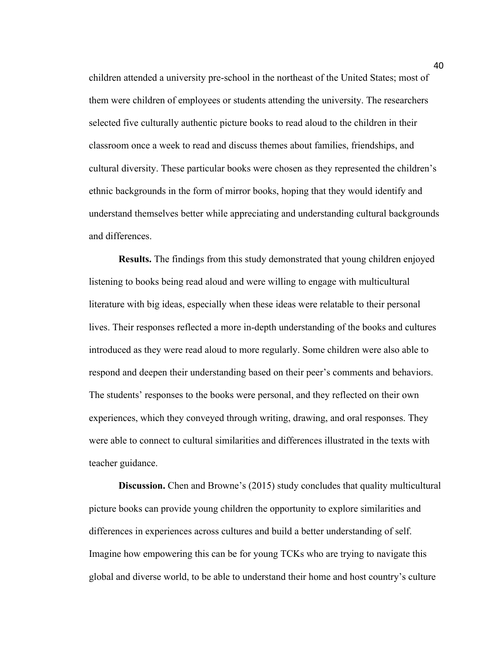children attended a university pre-school in the northeast of the United States; most of them were children of employees or students attending the university. The researchers selected five culturally authentic picture books to read aloud to the children in their classroom once a week to read and discuss themes about families, friendships, and cultural diversity. These particular books were chosen as they represented the children's ethnic backgrounds in the form of mirror books, hoping that they would identify and understand themselves better while appreciating and understanding cultural backgrounds and differences.

**Results.** The findings from this study demonstrated that young children enjoyed listening to books being read aloud and were willing to engage with multicultural literature with big ideas, especially when these ideas were relatable to their personal lives. Their responses reflected a more in-depth understanding of the books and cultures introduced as they were read aloud to more regularly. Some children were also able to respond and deepen their understanding based on their peer's comments and behaviors. The students' responses to the books were personal, and they reflected on their own experiences, which they conveyed through writing, drawing, and oral responses. They were able to connect to cultural similarities and differences illustrated in the texts with teacher guidance.

**Discussion.** Chen and Browne's (2015) study concludes that quality multicultural picture books can provide young children the opportunity to explore similarities and differences in experiences across cultures and build a better understanding of self. Imagine how empowering this can be for young TCKs who are trying to navigate this global and diverse world, to be able to understand their home and host country's culture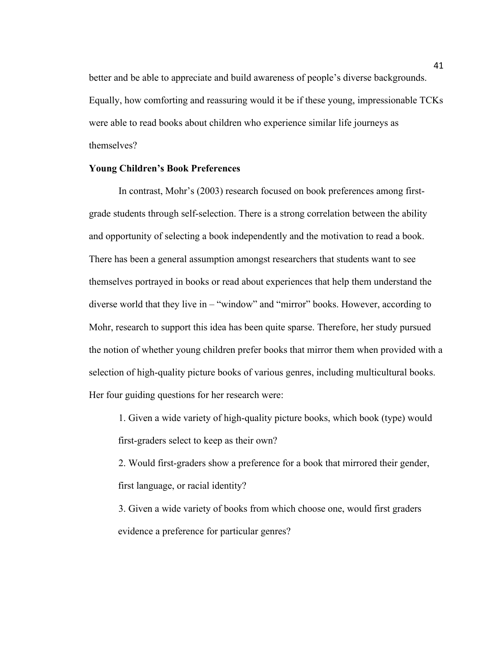better and be able to appreciate and build awareness of people's diverse backgrounds. Equally, how comforting and reassuring would it be if these young, impressionable TCKs were able to read books about children who experience similar life journeys as themselves?

#### **Young Children's Book Preferences**

In contrast, Mohr's (2003) research focused on book preferences among firstgrade students through self-selection. There is a strong correlation between the ability and opportunity of selecting a book independently and the motivation to read a book. There has been a general assumption amongst researchers that students want to see themselves portrayed in books or read about experiences that help them understand the diverse world that they live in – "window" and "mirror" books. However, according to Mohr, research to support this idea has been quite sparse. Therefore, her study pursued the notion of whether young children prefer books that mirror them when provided with a selection of high-quality picture books of various genres, including multicultural books. Her four guiding questions for her research were:

1. Given a wide variety of high-quality picture books, which book (type) would first-graders select to keep as their own?

2. Would first-graders show a preference for a book that mirrored their gender, first language, or racial identity?

3. Given a wide variety of books from which choose one, would first graders evidence a preference for particular genres?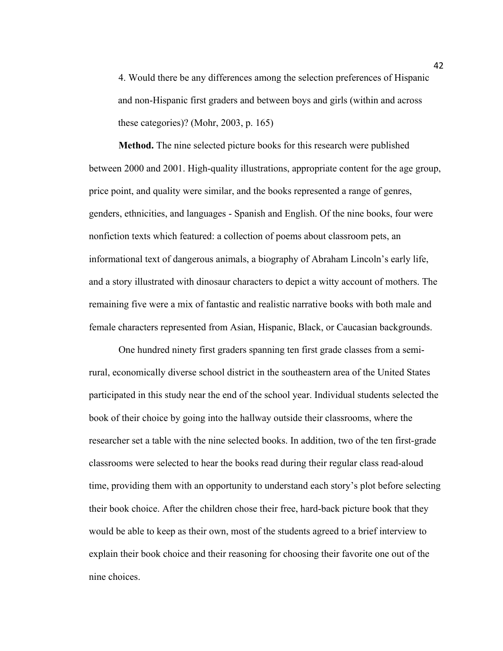4. Would there be any differences among the selection preferences of Hispanic and non-Hispanic first graders and between boys and girls (within and across these categories)? (Mohr, 2003, p. 165)

**Method.** The nine selected picture books for this research were published between 2000 and 2001. High-quality illustrations, appropriate content for the age group, price point, and quality were similar, and the books represented a range of genres, genders, ethnicities, and languages - Spanish and English. Of the nine books, four were nonfiction texts which featured: a collection of poems about classroom pets, an informational text of dangerous animals, a biography of Abraham Lincoln's early life, and a story illustrated with dinosaur characters to depict a witty account of mothers. The remaining five were a mix of fantastic and realistic narrative books with both male and female characters represented from Asian, Hispanic, Black, or Caucasian backgrounds.

One hundred ninety first graders spanning ten first grade classes from a semirural, economically diverse school district in the southeastern area of the United States participated in this study near the end of the school year. Individual students selected the book of their choice by going into the hallway outside their classrooms, where the researcher set a table with the nine selected books. In addition, two of the ten first-grade classrooms were selected to hear the books read during their regular class read-aloud time, providing them with an opportunity to understand each story's plot before selecting their book choice. After the children chose their free, hard-back picture book that they would be able to keep as their own, most of the students agreed to a brief interview to explain their book choice and their reasoning for choosing their favorite one out of the nine choices.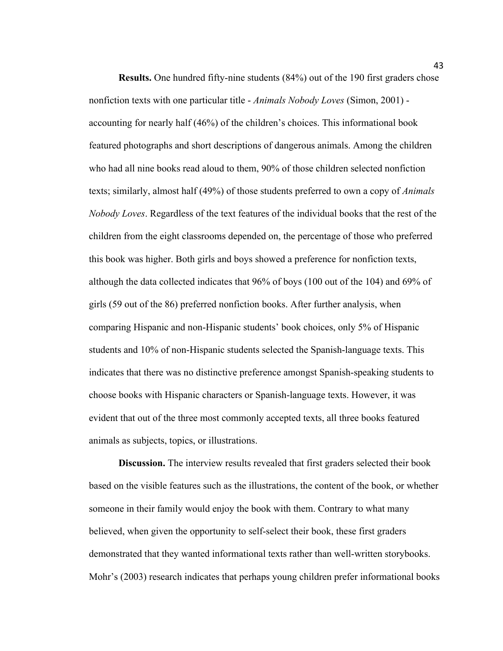**Results.** One hundred fifty-nine students (84%) out of the 190 first graders chose nonfiction texts with one particular title - *Animals Nobody Loves* (Simon, 2001) accounting for nearly half (46%) of the children's choices. This informational book featured photographs and short descriptions of dangerous animals. Among the children who had all nine books read aloud to them, 90% of those children selected nonfiction texts; similarly, almost half (49%) of those students preferred to own a copy of *Animals Nobody Loves*. Regardless of the text features of the individual books that the rest of the children from the eight classrooms depended on, the percentage of those who preferred this book was higher. Both girls and boys showed a preference for nonfiction texts, although the data collected indicates that 96% of boys (100 out of the 104) and 69% of girls (59 out of the 86) preferred nonfiction books. After further analysis, when comparing Hispanic and non-Hispanic students' book choices, only 5% of Hispanic students and 10% of non-Hispanic students selected the Spanish-language texts. This indicates that there was no distinctive preference amongst Spanish-speaking students to choose books with Hispanic characters or Spanish-language texts. However, it was evident that out of the three most commonly accepted texts, all three books featured animals as subjects, topics, or illustrations.

**Discussion.** The interview results revealed that first graders selected their book based on the visible features such as the illustrations, the content of the book, or whether someone in their family would enjoy the book with them. Contrary to what many believed, when given the opportunity to self-select their book, these first graders demonstrated that they wanted informational texts rather than well-written storybooks. Mohr's (2003) research indicates that perhaps young children prefer informational books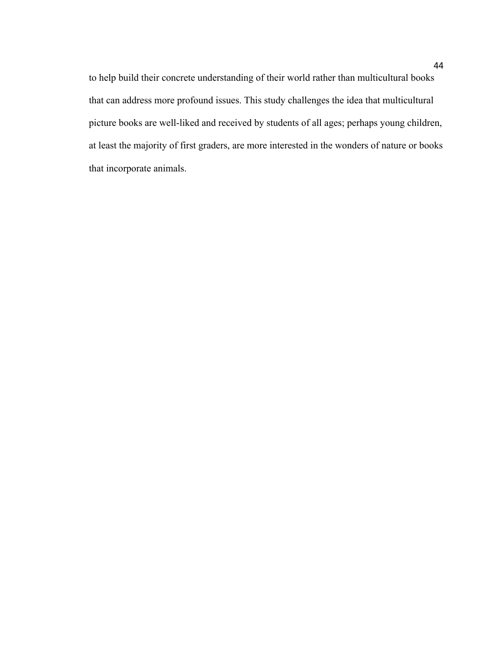to help build their concrete understanding of their world rather than multicultural books that can address more profound issues. This study challenges the idea that multicultural picture books are well-liked and received by students of all ages; perhaps young children, at least the majority of first graders, are more interested in the wonders of nature or books that incorporate animals.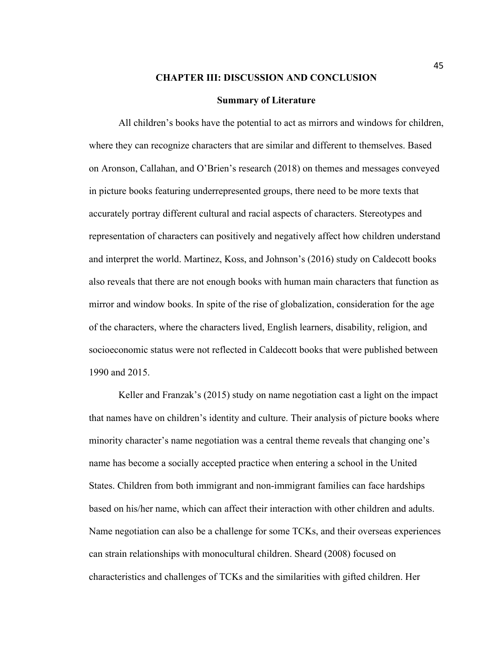#### **CHAPTER III: DISCUSSION AND CONCLUSION**

#### **Summary of Literature**

All children's books have the potential to act as mirrors and windows for children, where they can recognize characters that are similar and different to themselves. Based on Aronson, Callahan, and O'Brien's research (2018) on themes and messages conveyed in picture books featuring underrepresented groups, there need to be more texts that accurately portray different cultural and racial aspects of characters. Stereotypes and representation of characters can positively and negatively affect how children understand and interpret the world. Martinez, Koss, and Johnson's (2016) study on Caldecott books also reveals that there are not enough books with human main characters that function as mirror and window books. In spite of the rise of globalization, consideration for the age of the characters, where the characters lived, English learners, disability, religion, and socioeconomic status were not reflected in Caldecott books that were published between 1990 and 2015.

Keller and Franzak's (2015) study on name negotiation cast a light on the impact that names have on children's identity and culture. Their analysis of picture books where minority character's name negotiation was a central theme reveals that changing one's name has become a socially accepted practice when entering a school in the United States. Children from both immigrant and non-immigrant families can face hardships based on his/her name, which can affect their interaction with other children and adults. Name negotiation can also be a challenge for some TCKs, and their overseas experiences can strain relationships with monocultural children. Sheard (2008) focused on characteristics and challenges of TCKs and the similarities with gifted children. Her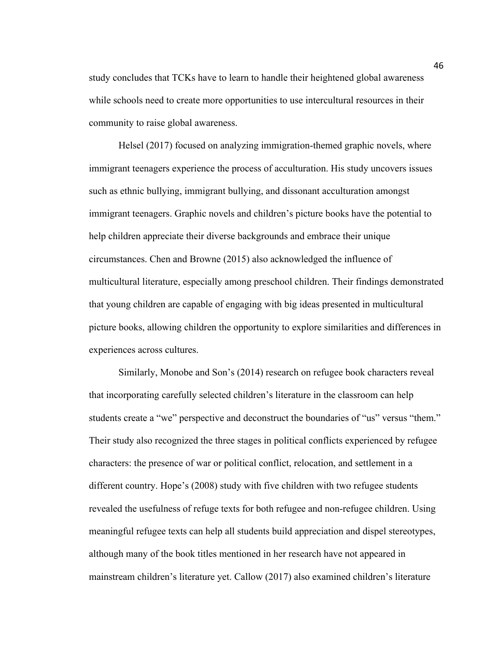study concludes that TCKs have to learn to handle their heightened global awareness while schools need to create more opportunities to use intercultural resources in their community to raise global awareness.

Helsel (2017) focused on analyzing immigration-themed graphic novels, where immigrant teenagers experience the process of acculturation. His study uncovers issues such as ethnic bullying, immigrant bullying, and dissonant acculturation amongst immigrant teenagers. Graphic novels and children's picture books have the potential to help children appreciate their diverse backgrounds and embrace their unique circumstances. Chen and Browne (2015) also acknowledged the influence of multicultural literature, especially among preschool children. Their findings demonstrated that young children are capable of engaging with big ideas presented in multicultural picture books, allowing children the opportunity to explore similarities and differences in experiences across cultures.

Similarly, Monobe and Son's (2014) research on refugee book characters reveal that incorporating carefully selected children's literature in the classroom can help students create a "we" perspective and deconstruct the boundaries of "us" versus "them." Their study also recognized the three stages in political conflicts experienced by refugee characters: the presence of war or political conflict, relocation, and settlement in a different country. Hope's (2008) study with five children with two refugee students revealed the usefulness of refuge texts for both refugee and non-refugee children. Using meaningful refugee texts can help all students build appreciation and dispel stereotypes, although many of the book titles mentioned in her research have not appeared in mainstream children's literature yet. Callow (2017) also examined children's literature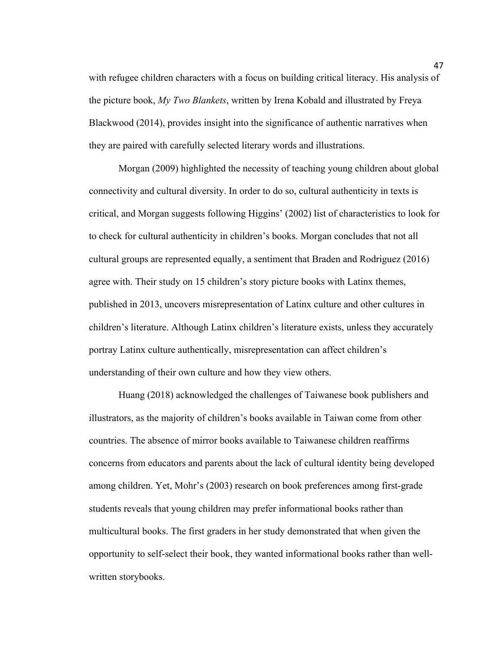with refugee children characters with a focus on building critical literacy. His analysis of the picture book, *My Two Blankets*, written by Irena Kobald and illustrated by Freya Blackwood (2014), provides insight into the significance of authentic narratives when they are paired with carefully selected literary words and illustrations.

Morgan (2009) highlighted the necessity of teaching young children about global connectivity and cultural diversity. In order to do so, cultural authenticity in texts is critical, and Morgan suggests following Higgins' (2002) list of characteristics to look for to check for cultural authenticity in children's books. Morgan concludes that not all cultural groups are represented equally, a sentiment that Braden and Rodriguez (2016) agree with. Their study on 15 children's story picture books with Latinx themes, published in 2013, uncovers misrepresentation of Latinx culture and other cultures in children's literature. Although Latinx children's literature exists, unless they accurately portray Latinx culture authentically, misrepresentation can affect children's understanding of their own culture and how they view others.

Huang (2018) acknowledged the challenges of Taiwanese book publishers and illustrators, as the majority of children's books available in Taiwan come from other countries. The absence of mirror books available to Taiwanese children reaffirms concerns from educators and parents about the lack of cultural identity being developed among children. Yet, Mohr's (2003) research on book preferences among first-grade students reveals that young children may prefer informational books rather than multicultural books. The first graders in her study demonstrated that when given the opportunity to self-select their book, they wanted informational books rather than wellwritten storybooks.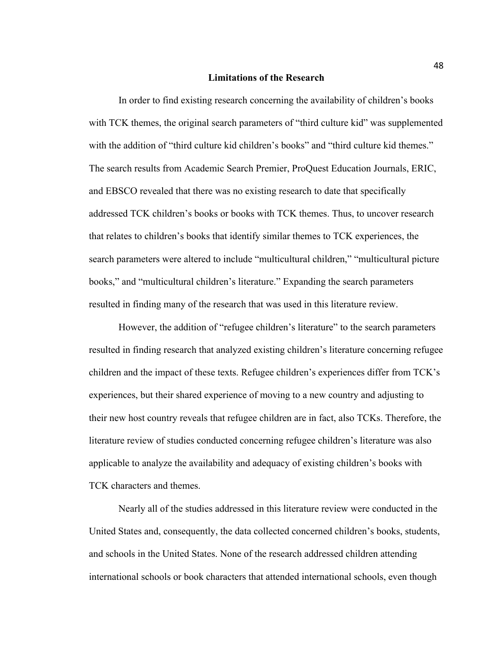#### **Limitations of the Research**

In order to find existing research concerning the availability of children's books with TCK themes, the original search parameters of "third culture kid" was supplemented with the addition of "third culture kid children's books" and "third culture kid themes." The search results from Academic Search Premier, ProQuest Education Journals, ERIC, and EBSCO revealed that there was no existing research to date that specifically addressed TCK children's books or books with TCK themes. Thus, to uncover research that relates to children's books that identify similar themes to TCK experiences, the search parameters were altered to include "multicultural children," "multicultural picture books," and "multicultural children's literature." Expanding the search parameters resulted in finding many of the research that was used in this literature review.

However, the addition of "refugee children's literature" to the search parameters resulted in finding research that analyzed existing children's literature concerning refugee children and the impact of these texts. Refugee children's experiences differ from TCK's experiences, but their shared experience of moving to a new country and adjusting to their new host country reveals that refugee children are in fact, also TCKs. Therefore, the literature review of studies conducted concerning refugee children's literature was also applicable to analyze the availability and adequacy of existing children's books with TCK characters and themes.

Nearly all of the studies addressed in this literature review were conducted in the United States and, consequently, the data collected concerned children's books, students, and schools in the United States. None of the research addressed children attending international schools or book characters that attended international schools, even though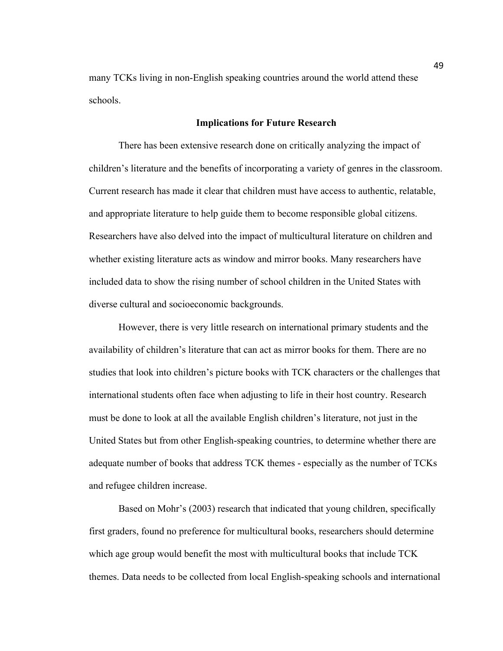many TCKs living in non-English speaking countries around the world attend these schools.

#### **Implications for Future Research**

There has been extensive research done on critically analyzing the impact of children's literature and the benefits of incorporating a variety of genres in the classroom. Current research has made it clear that children must have access to authentic, relatable, and appropriate literature to help guide them to become responsible global citizens. Researchers have also delved into the impact of multicultural literature on children and whether existing literature acts as window and mirror books. Many researchers have included data to show the rising number of school children in the United States with diverse cultural and socioeconomic backgrounds.

However, there is very little research on international primary students and the availability of children's literature that can act as mirror books for them. There are no studies that look into children's picture books with TCK characters or the challenges that international students often face when adjusting to life in their host country. Research must be done to look at all the available English children's literature, not just in the United States but from other English-speaking countries, to determine whether there are adequate number of books that address TCK themes - especially as the number of TCKs and refugee children increase.

Based on Mohr's (2003) research that indicated that young children, specifically first graders, found no preference for multicultural books, researchers should determine which age group would benefit the most with multicultural books that include TCK themes. Data needs to be collected from local English-speaking schools and international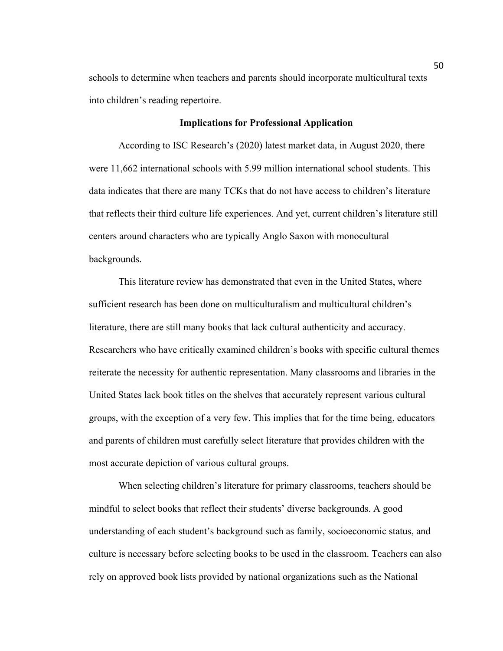schools to determine when teachers and parents should incorporate multicultural texts into children's reading repertoire.

## **Implications for Professional Application**

According to ISC Research's (2020) latest market data, in August 2020, there were 11,662 international schools with 5.99 million international school students. This data indicates that there are many TCKs that do not have access to children's literature that reflects their third culture life experiences. And yet, current children's literature still centers around characters who are typically Anglo Saxon with monocultural backgrounds.

This literature review has demonstrated that even in the United States, where sufficient research has been done on multiculturalism and multicultural children's literature, there are still many books that lack cultural authenticity and accuracy. Researchers who have critically examined children's books with specific cultural themes reiterate the necessity for authentic representation. Many classrooms and libraries in the United States lack book titles on the shelves that accurately represent various cultural groups, with the exception of a very few. This implies that for the time being, educators and parents of children must carefully select literature that provides children with the most accurate depiction of various cultural groups.

When selecting children's literature for primary classrooms, teachers should be mindful to select books that reflect their students' diverse backgrounds. A good understanding of each student's background such as family, socioeconomic status, and culture is necessary before selecting books to be used in the classroom. Teachers can also rely on approved book lists provided by national organizations such as the National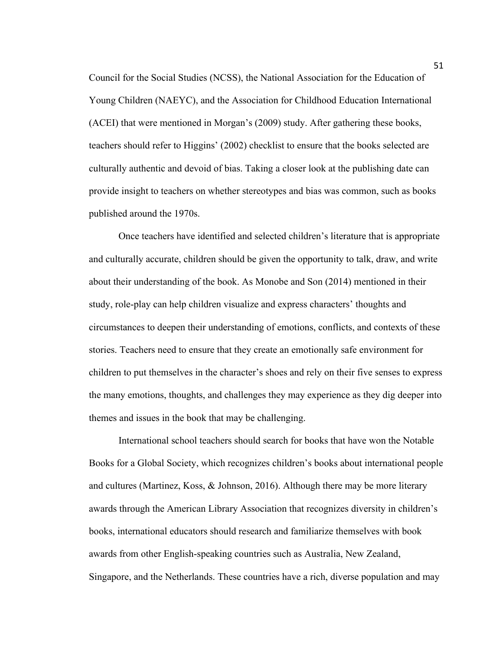Council for the Social Studies (NCSS), the National Association for the Education of Young Children (NAEYC), and the Association for Childhood Education International (ACEI) that were mentioned in Morgan's (2009) study. After gathering these books, teachers should refer to Higgins' (2002) checklist to ensure that the books selected are culturally authentic and devoid of bias. Taking a closer look at the publishing date can provide insight to teachers on whether stereotypes and bias was common, such as books published around the 1970s.

Once teachers have identified and selected children's literature that is appropriate and culturally accurate, children should be given the opportunity to talk, draw, and write about their understanding of the book. As Monobe and Son (2014) mentioned in their study, role-play can help children visualize and express characters' thoughts and circumstances to deepen their understanding of emotions, conflicts, and contexts of these stories. Teachers need to ensure that they create an emotionally safe environment for children to put themselves in the character's shoes and rely on their five senses to express the many emotions, thoughts, and challenges they may experience as they dig deeper into themes and issues in the book that may be challenging.

International school teachers should search for books that have won the Notable Books for a Global Society, which recognizes children's books about international people and cultures (Martinez, Koss, & Johnson, 2016). Although there may be more literary awards through the American Library Association that recognizes diversity in children's books, international educators should research and familiarize themselves with book awards from other English-speaking countries such as Australia, New Zealand, Singapore, and the Netherlands. These countries have a rich, diverse population and may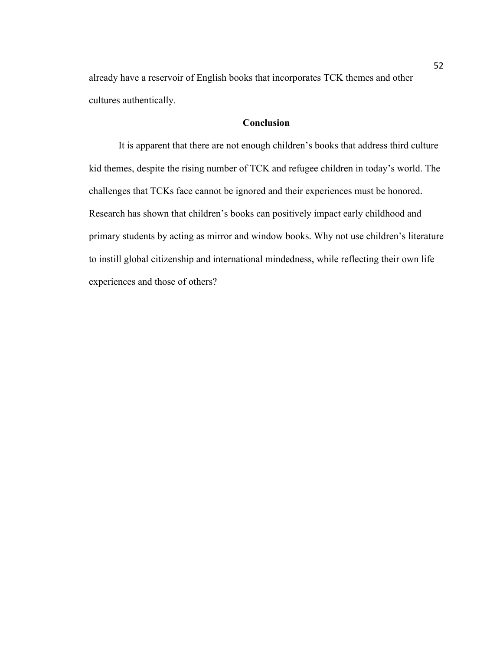already have a reservoir of English books that incorporates TCK themes and other cultures authentically.

# **Conclusion**

It is apparent that there are not enough children's books that address third culture kid themes, despite the rising number of TCK and refugee children in today's world. The challenges that TCKs face cannot be ignored and their experiences must be honored. Research has shown that children's books can positively impact early childhood and primary students by acting as mirror and window books. Why not use children's literature to instill global citizenship and international mindedness, while reflecting their own life experiences and those of others?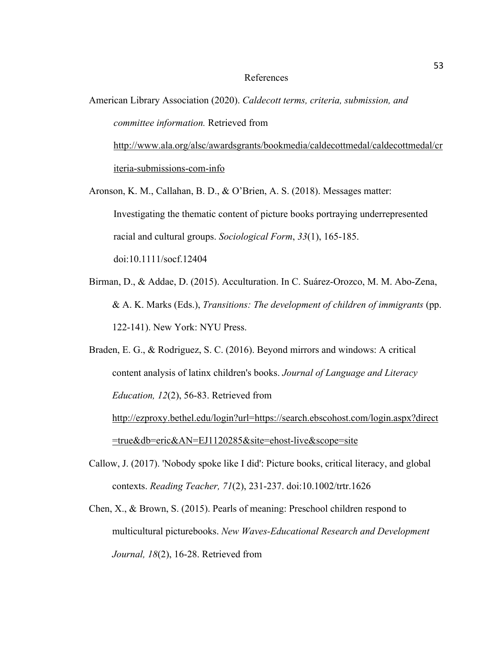# References

American Library Association (2020). *Caldecott terms, criteria, submission, and committee information.* Retrieved from http://www.ala.org/alsc/awardsgrants/bookmedia/caldecottmedal/caldecottmedal/cr iteria-submissions-com-info

- Aronson, K. M., Callahan, B. D., & O'Brien, A. S. (2018). Messages matter: Investigating the thematic content of picture books portraying underrepresented racial and cultural groups. *Sociological Form*, *33*(1), 165-185. doi:10.1111/socf.12404
- Birman, D., & Addae, D. (2015). Acculturation. In C. Suárez-Orozco, M. M. Abo-Zena, & A. K. Marks (Eds.), *Transitions: The development of children of immigrants* (pp. 122-141). New York: NYU Press.

Braden, E. G., & Rodriguez, S. C. (2016). Beyond mirrors and windows: A critical content analysis of latinx children's books. *Journal of Language and Literacy Education, 12*(2), 56-83. Retrieved from http://ezproxy.bethel.edu/login?url=https://search.ebscohost.com/login.aspx?direct =true&db=eric&AN=EJ1120285&site=ehost-live&scope=site

- Callow, J. (2017). 'Nobody spoke like I did': Picture books, critical literacy, and global contexts. *Reading Teacher, 71*(2), 231-237. doi:10.1002/trtr.1626
- Chen, X., & Brown, S. (2015). Pearls of meaning: Preschool children respond to multicultural picturebooks. *New Waves-Educational Research and Development Journal, 18*(2), 16-28. Retrieved from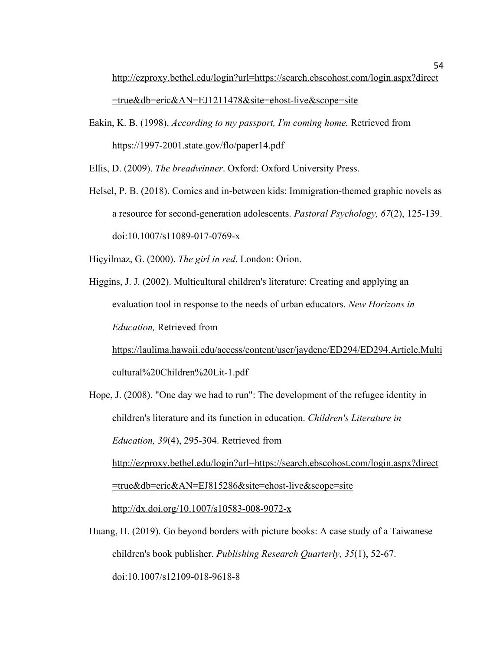http://ezproxy.bethel.edu/login?url=https://search.ebscohost.com/login.aspx?direct =true&db=eric&AN=EJ1211478&site=ehost-live&scope=site

Eakin, K. B. (1998). *According to my passport, I'm coming home.* Retrieved from https://1997-2001.state.gov/flo/paper14.pdf

Ellis, D. (2009). *The breadwinner*. Oxford: Oxford University Press.

Helsel, P. B. (2018). Comics and in-between kids: Immigration-themed graphic novels as a resource for second-generation adolescents. *Pastoral Psychology, 67*(2), 125-139. doi:10.1007/s11089-017-0769-x

Hiçyilmaz, G. (2000). *The girl in red*. London: Orion.

Higgins, J. J. (2002). Multicultural children's literature: Creating and applying an evaluation tool in response to the needs of urban educators. *New Horizons in Education,* Retrieved from https://laulima.hawaii.edu/access/content/user/jaydene/ED294/ED294.Article.Multi

cultural%20Children%20Lit-1.pdf

Hope, J. (2008). "One day we had to run": The development of the refugee identity in children's literature and its function in education. *Children's Literature in Education, 39*(4), 295-304. Retrieved from http://ezproxy.bethel.edu/login?url=https://search.ebscohost.com/login.aspx?direct =true&db=eric&AN=EJ815286&site=ehost-live&scope=site http://dx.doi.org/10.1007/s10583-008-9072-x

Huang, H. (2019). Go beyond borders with picture books: A case study of a Taiwanese children's book publisher. *Publishing Research Quarterly, 35*(1), 52-67. doi:10.1007/s12109-018-9618-8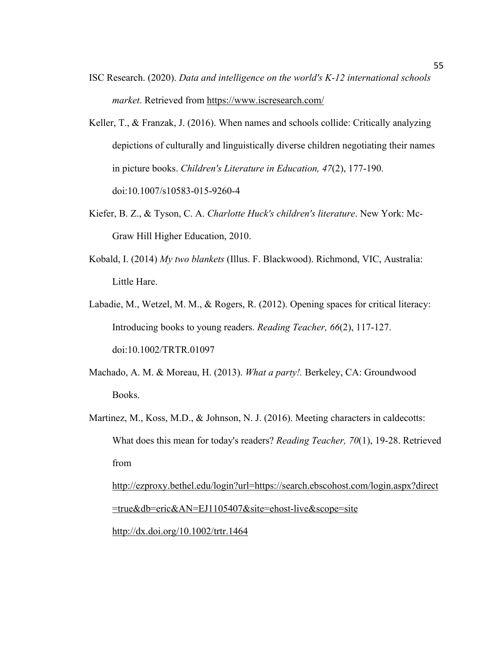- ISC Research. (2020). *Data and intelligence on the world's K-12 international schools market*. Retrieved from https://www.iscresearch.com/
- Keller, T., & Franzak, J. (2016). When names and schools collide: Critically analyzing depictions of culturally and linguistically diverse children negotiating their names in picture books. *Children's Literature in Education, 47*(2), 177-190. doi:10.1007/s10583-015-9260-4
- Kiefer, B. Z., & Tyson, C. A. *Charlotte Huck's children's literature*. New York: Mc-Graw Hill Higher Education, 2010.
- Kobald, I. (2014) *My two blankets* (Illus. F. Blackwood). Richmond, VIC, Australia: Little Hare.
- Labadie, M., Wetzel, M. M., & Rogers, R. (2012). Opening spaces for critical literacy: Introducing books to young readers. *Reading Teacher, 66*(2), 117-127. doi:10.1002/TRTR.01097
- Machado, A. M. & Moreau, H. (2013). *What a party!.* Berkeley, CA: Groundwood Books.
- Martinez, M., Koss, M.D., & Johnson, N. J. (2016). Meeting characters in caldecotts: What does this mean for today's readers? *Reading Teacher, 70*(1), 19-28. Retrieved from

http://ezproxy.bethel.edu/login?url=https://search.ebscohost.com/login.aspx?direct =true&db=eric&AN=EJ1105407&site=ehost-live&scope=site

http://dx.doi.org/10.1002/trtr.1464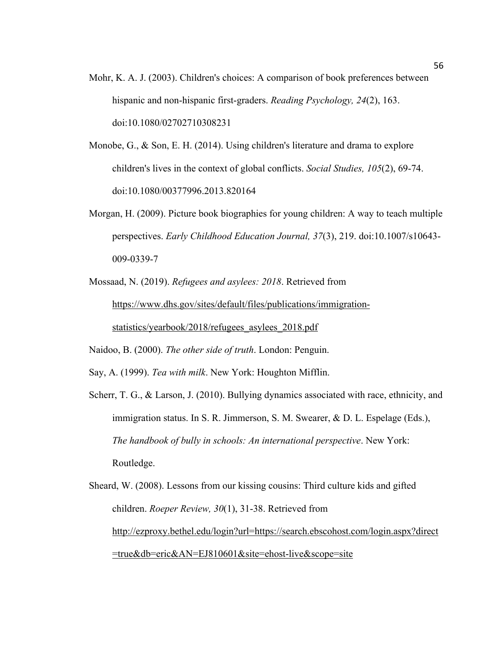- Mohr, K. A. J. (2003). Children's choices: A comparison of book preferences between hispanic and non-hispanic first-graders. *Reading Psychology, 24*(2), 163. doi:10.1080/02702710308231
- Monobe, G., & Son, E. H. (2014). Using children's literature and drama to explore children's lives in the context of global conflicts. *Social Studies, 105*(2), 69-74. doi:10.1080/00377996.2013.820164
- Morgan, H. (2009). Picture book biographies for young children: A way to teach multiple perspectives. *Early Childhood Education Journal, 37*(3), 219. doi:10.1007/s10643- 009-0339-7
- Mossaad, N. (2019). *Refugees and asylees: 2018*. Retrieved from https://www.dhs.gov/sites/default/files/publications/immigrationstatistics/yearbook/2018/refugees\_asylees\_2018.pdf

Naidoo, B. (2000). *The other side of truth*. London: Penguin.

Say, A. (1999). *Tea with milk*. New York: Houghton Mifflin.

- Scherr, T. G., & Larson, J. (2010). Bullying dynamics associated with race, ethnicity, and immigration status. In S. R. Jimmerson, S. M. Swearer, & D. L. Espelage (Eds.), *The handbook of bully in schools: An international perspective*. New York: Routledge.
- Sheard, W. (2008). Lessons from our kissing cousins: Third culture kids and gifted children. *Roeper Review, 30*(1), 31-38. Retrieved from http://ezproxy.bethel.edu/login?url=https://search.ebscohost.com/login.aspx?direct =true&db=eric&AN=EJ810601&site=ehost-live&scope=site